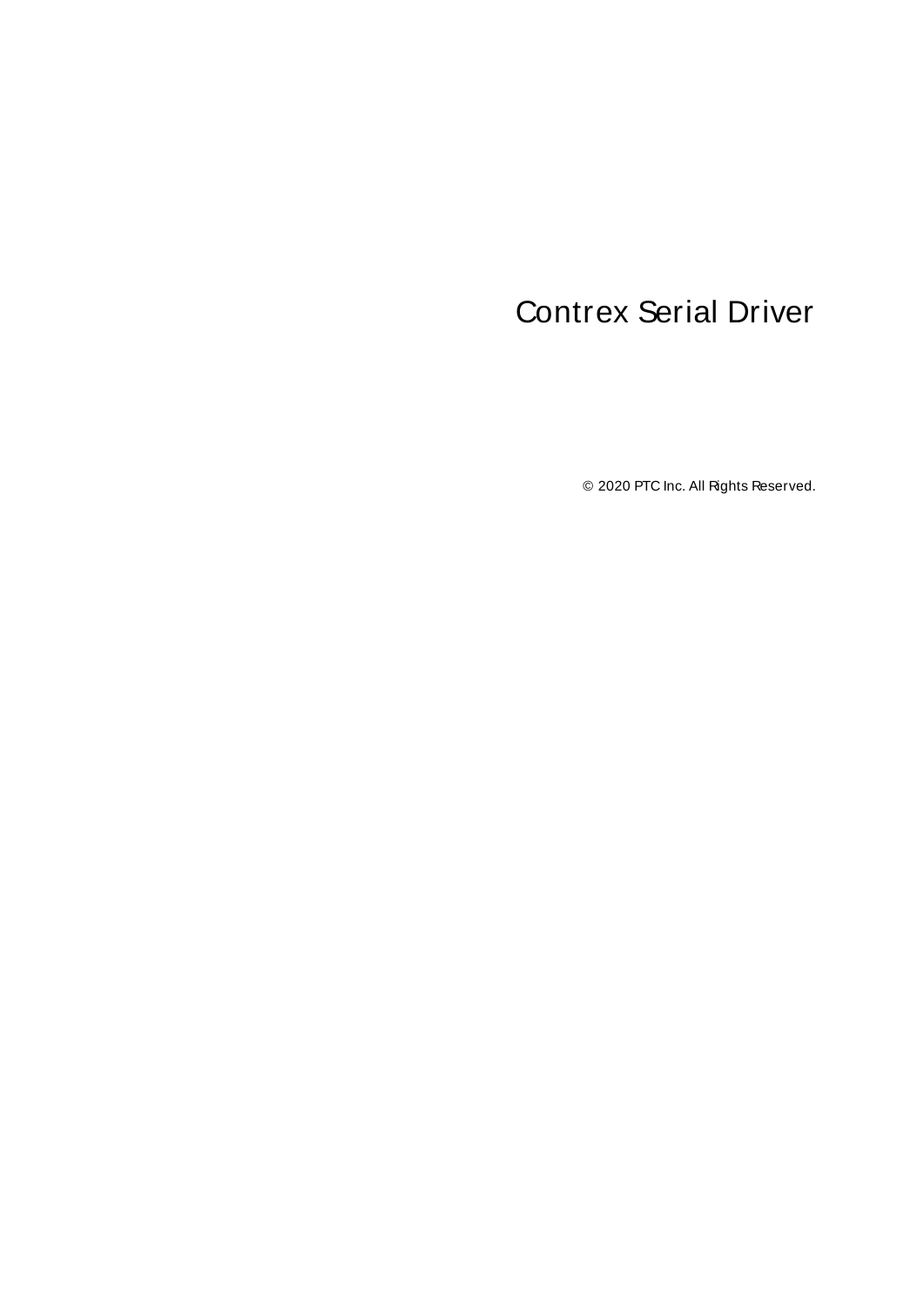# <span id="page-0-0"></span>Contrex Serial Driver

© 2020 PTC Inc. All Rights Reserved.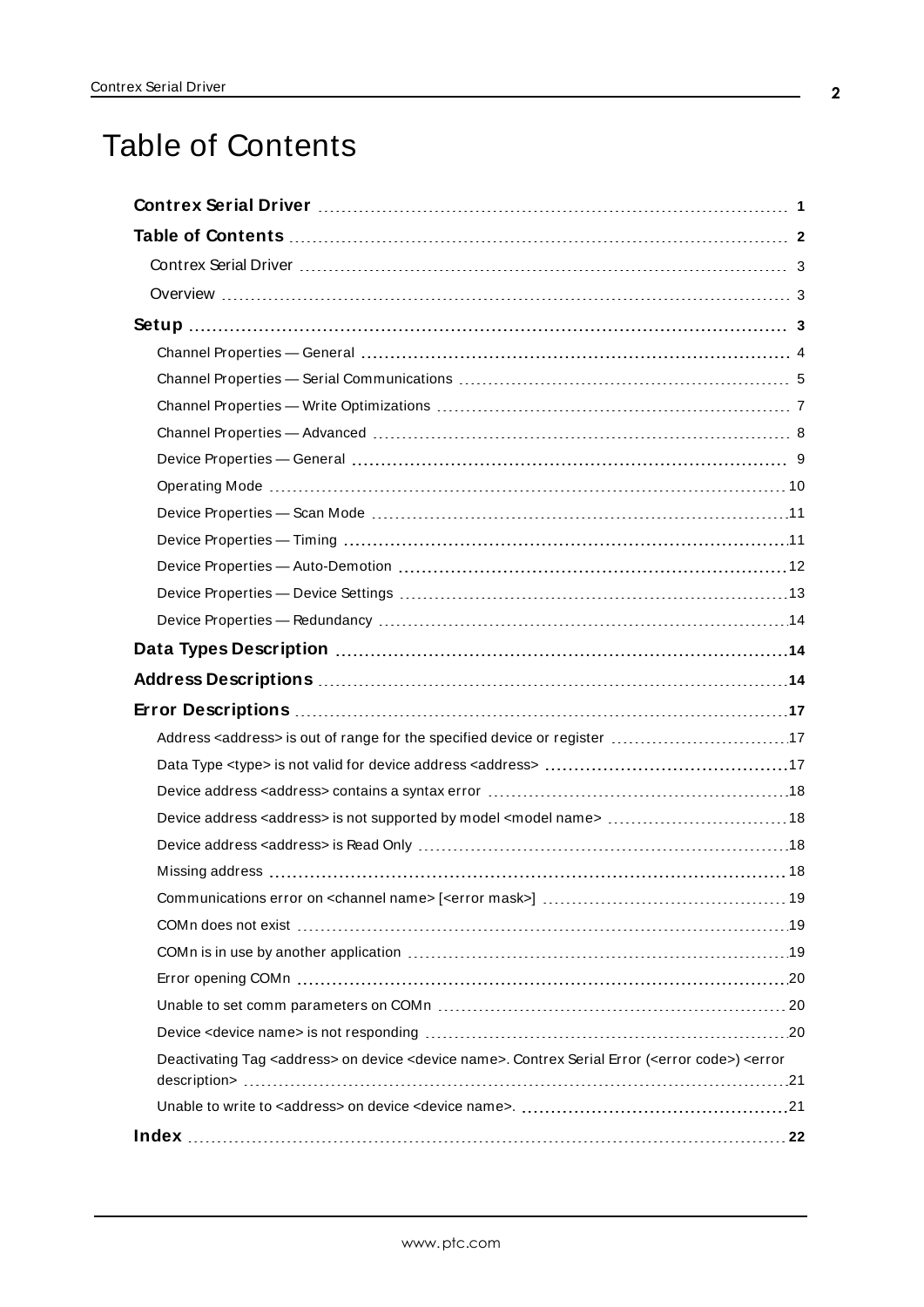# <span id="page-1-0"></span>Table of Contents

| Data Types Description manufacture and the control of the Data Types Description manufacture and the Data Types                                  |
|--------------------------------------------------------------------------------------------------------------------------------------------------|
|                                                                                                                                                  |
|                                                                                                                                                  |
|                                                                                                                                                  |
|                                                                                                                                                  |
|                                                                                                                                                  |
| Device address <address> is not supported by model <model name="">  18</model></address>                                                         |
|                                                                                                                                                  |
|                                                                                                                                                  |
|                                                                                                                                                  |
|                                                                                                                                                  |
|                                                                                                                                                  |
|                                                                                                                                                  |
|                                                                                                                                                  |
|                                                                                                                                                  |
| Deactivating Tag <address> on device <device name="">. Contrex Serial Error (<error code="">) <error< td=""></error<></error></device></address> |
|                                                                                                                                                  |
|                                                                                                                                                  |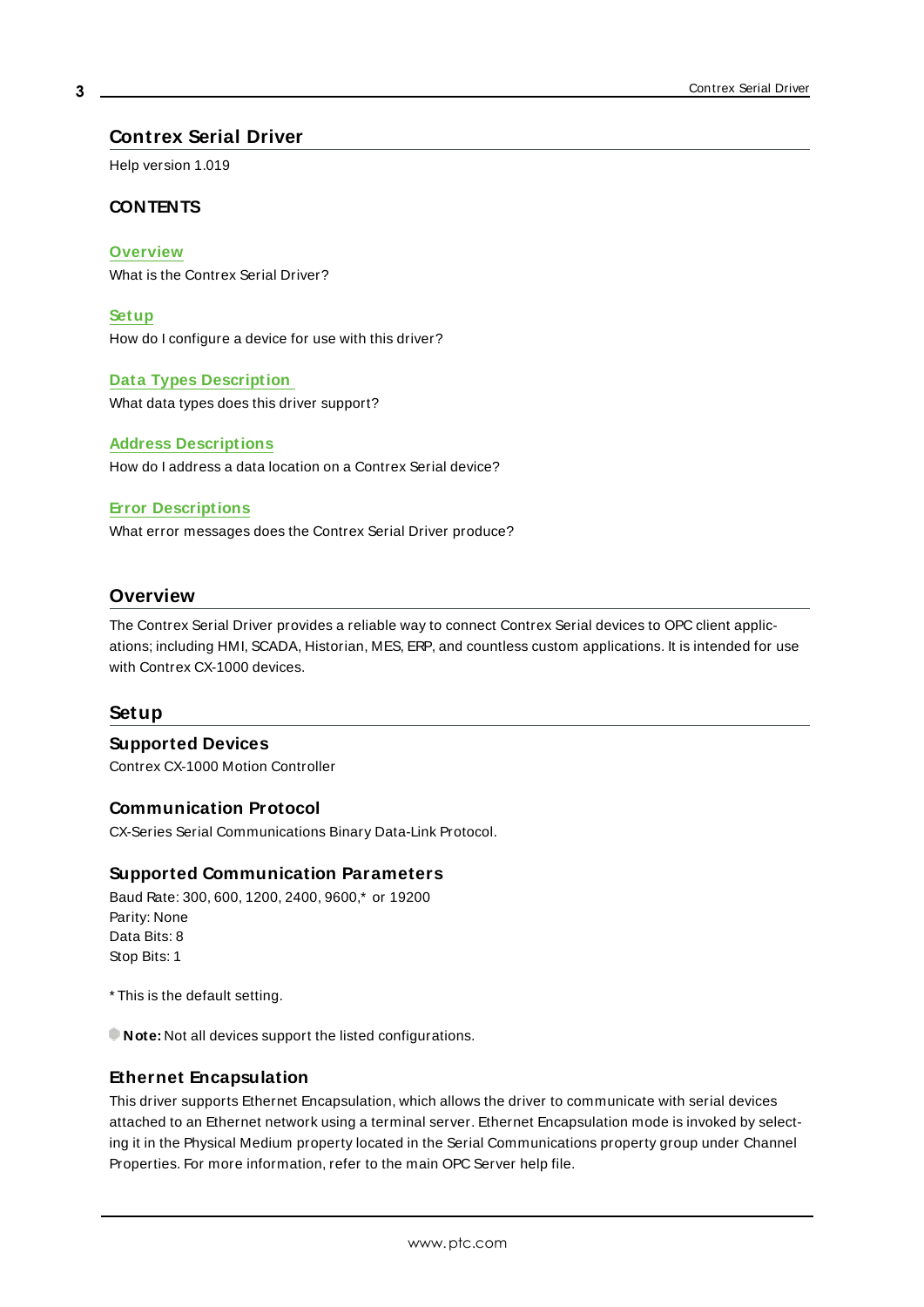#### <span id="page-2-0"></span>**Contrex Serial Driver**

Help version 1.019

#### **CONTENTS**

**[Overview](#page-2-1)**

What is the Contrex Serial Driver?

**[Setup](#page-2-2)**

How do I configure a device for use with this driver?

#### **Data Types [Description](#page-13-1)**

What data types does this driver support?

#### **Address [Descriptions](#page-13-2)**

How do I address a data location on a Contrex Serial device?

#### **Error [Descriptions](#page-16-0)**

What error messages does the Contrex Serial Driver produce?

#### <span id="page-2-1"></span>**Overview**

The Contrex Serial Driver provides a reliable way to connect Contrex Serial devices to OPC client applications; including HMI, SCADA, Historian, MES, ERP, and countless custom applications. It is intended for use with Contrex CX-1000 devices.

#### <span id="page-2-2"></span>**Setup**

#### **Supported Devices**

Contrex CX-1000 Motion Controller

#### **Communication Protocol**

CX-Series Serial Communications Binary Data-Link Protocol.

#### **Supported Communication Parameters**

Baud Rate: 300, 600, 1200, 2400, 9600,\* or 19200 Parity: None Data Bits: 8 Stop Bits: 1

\* This is the default setting.

**Note:** Not all devices support the listed configurations.

#### <span id="page-2-3"></span>**Ethernet Encapsulation**

This driver supports Ethernet Encapsulation, which allows the driver to communicate with serial devices attached to an Ethernet network using a terminal server. Ethernet Encapsulation mode is invoked by selecting it in the Physical Medium property located in the Serial Communications property group under Channel Properties. For more information, refer to the main OPC Server help file.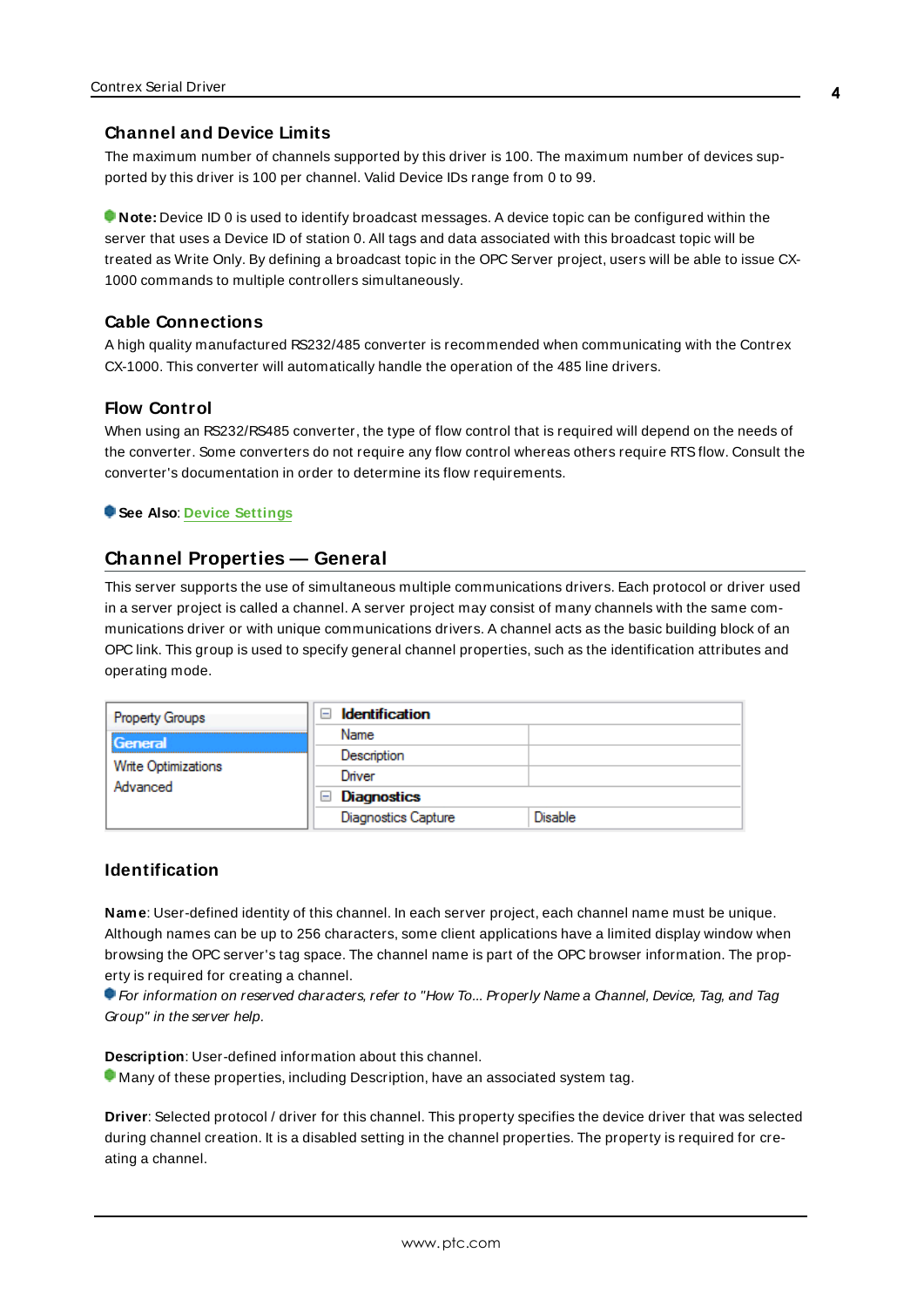#### <span id="page-3-1"></span>**Channel and Device Limits**

The maximum number of channels supported by this driver is 100. The maximum number of devices supported by this driver is 100 per channel. Valid Device IDs range from 0 to 99.

**Note:** Device ID 0 is used to identify broadcast messages. A device topic can be configured within the server that uses a Device ID of station 0. All tags and data associated with this broadcast topic will be treated as Write Only. By defining a broadcast topic in the OPC Server project, users will be able to issue CX-1000 commands to multiple controllers simultaneously.

#### **Cable Connections**

A high quality manufactured RS232/485 converter is recommended when communicating with the Contrex CX-1000. This converter will automatically handle the operation of the 485 line drivers.

#### **Flow Control**

When using an RS232/RS485 converter, the type of flow control that is required will depend on the needs of the converter. Some converters do not require any flow control whereas others require RTSflow. Consult the converter's documentation in order to determine its flow requirements.

<span id="page-3-0"></span>**See Also**: **Device [Settings](#page-12-0)**

#### **Channel Properties — General**

This server supports the use of simultaneous multiple communications drivers. Each protocol or driver used in a server project is called a channel. A server project may consist of many channels with the same communications driver or with unique communications drivers. A channel acts as the basic building block of an OPC link. This group is used to specify general channel properties, such as the identification attributes and operating mode.

| <b>Property Groups</b>          | <b>Identification</b><br>$\overline{\phantom{a}}$ |         |
|---------------------------------|---------------------------------------------------|---------|
| General                         | Name                                              |         |
|                                 | Description                                       |         |
| Write Optimizations<br>Advanced | Driver                                            |         |
|                                 | $\Box$ Diagnostics                                |         |
|                                 | <b>Diagnostics Capture</b>                        | Disable |

#### **Identification**

**Name**: User-defined identity of this channel. In each server project, each channel name must be unique. Although names can be up to 256 characters, some client applications have a limited display window when browsing the OPC server's tag space. The channel name is part of the OPC browser information. The property is required for creating a channel.

For information on reserved characters, refer to "How To... Properly Name a Channel, Device, Tag, and Tag Group" in the server help.

**Description**: User-defined information about this channel.

Many of these properties, including Description, have an associated system tag.

**Driver**: Selected protocol / driver for this channel. This property specifies the device driver that was selected during channel creation. It is a disabled setting in the channel properties. The property is required for creating a channel.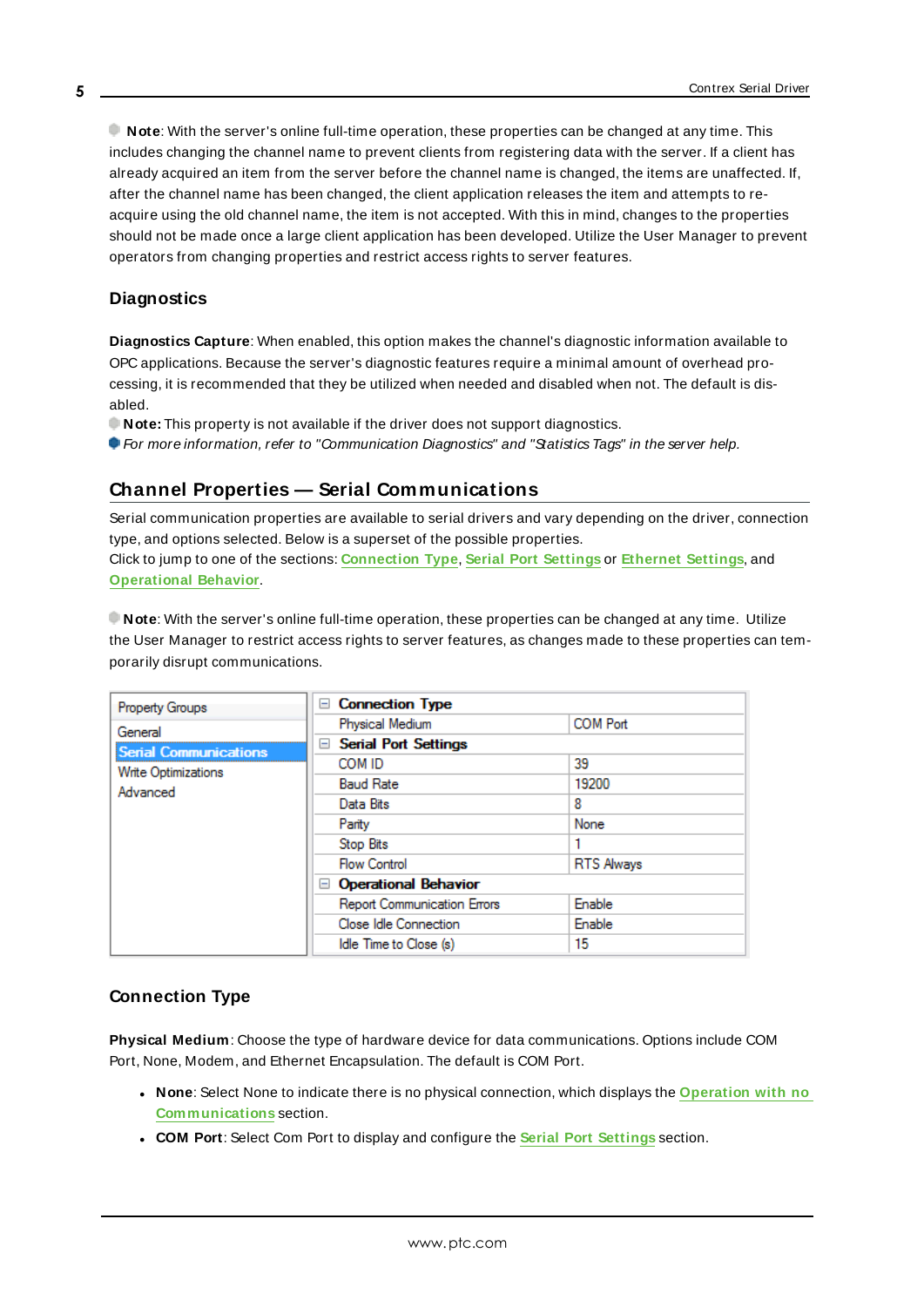**Note**: With the server's online full-time operation, these properties can be changed at any time. This includes changing the channel name to prevent clients from registering data with the server. If a client has already acquired an item from the server before the channel name is changed, the items are unaffected. If, after the channel name has been changed, the client application releases the item and attempts to reacquire using the old channel name, the item is not accepted. With this in mind, changes to the properties should not be made once a large client application has been developed. Utilize the User Manager to prevent operators from changing properties and restrict access rights to server features.

#### **Diagnostics**

**Diagnostics Capture**: When enabled, this option makes the channel's diagnostic information available to OPC applications. Because the server's diagnostic features require a minimal amount of overhead processing, it is recommended that they be utilized when needed and disabled when not. The default is disabled.

**Note:** This property is not available if the driver does not support diagnostics.

<span id="page-4-0"></span>**For more information, refer to "Communication Diagnostics" and "Statistics Tags" in the server help.** 

### **Channel Properties — Serial Communications**

Serial communication properties are available to serial drivers and vary depending on the driver, connection type, and options selected. Below is a superset of the possible properties. Click to jump to one of the sections: **[Connection](#page-4-1) Type**, **Serial Port [Settings](#page-5-0)** or **[Ethernet](#page-6-1) Settings**, and **[Operational](#page-5-1) Behavior**.

**Note**: With the server's online full-time operation, these properties can be changed at any time. Utilize the User Manager to restrict access rights to server features, as changes made to these properties can temporarily disrupt communications.

| <b>Property Groups</b>       | □ Connection Type                  |                   |
|------------------------------|------------------------------------|-------------------|
| General                      | Physical Medium                    | <b>COM Port</b>   |
| <b>Serial Communications</b> | <b>□ Serial Port Settings</b>      |                   |
|                              | COM ID                             | 39                |
| <b>Write Optimizations</b>   | <b>Baud Rate</b>                   | 19200             |
| Advanced                     | Data Bits                          | 8                 |
|                              | Parity                             | None              |
|                              | Stop Bits                          |                   |
|                              | <b>Flow Control</b>                | <b>RTS Always</b> |
|                              | □ Operational Behavior             |                   |
|                              | <b>Report Communication Errors</b> | Enable            |
|                              | Close Idle Connection              | Enable            |
|                              | Idle Time to Close (s)             | 15                |
|                              |                                    |                   |

#### <span id="page-4-1"></span>**Connection Type**

**Physical Medium**: Choose the type of hardware device for data communications. Options include COM Port, None, Modem, and Ethernet Encapsulation. The default is COM Port.

- <sup>l</sup> **None**: Select None to indicate there is no physical connection, which displays the **[Operation](#page-6-2) with no [Communications](#page-6-2)** section.
- <sup>l</sup> **COM Port**: Select Com Port to display and configure the **Serial Port [Settings](#page-5-0)** section.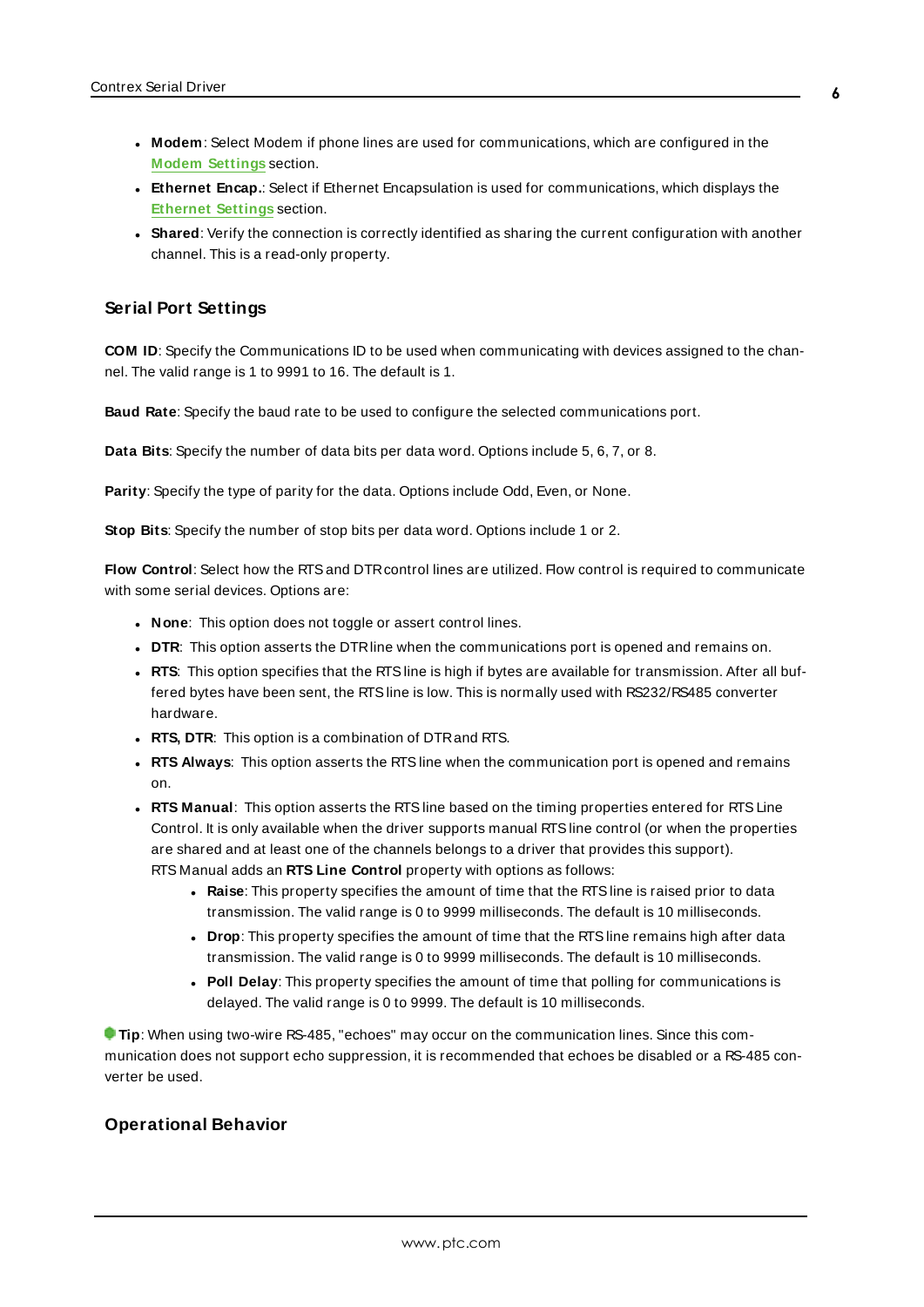- **Modem**: Select Modem if phone lines are used for communications, which are configured in the **Modem [Settings](#page-6-3)** section.
- **Ethernet Encap.**: Select if Ethernet Encapsulation is used for communications, which displays the **[Ethernet](#page-6-1) Settings** section.
- Shared: Verify the connection is correctly identified as sharing the current configuration with another channel. This is a read-only property.

#### <span id="page-5-0"></span>**Serial Port Settings**

**COM ID**: Specify the Communications ID to be used when communicating with devices assigned to the channel. The valid range is 1 to 9991 to 16. The default is 1.

**Baud Rate**: Specify the baud rate to be used to configure the selected communications port.

**Data Bits**: Specify the number of data bits per data word. Options include 5, 6, 7, or 8.

**Parity**: Specify the type of parity for the data. Options include Odd, Even, or None.

**Stop Bits**: Specify the number of stop bits per data word. Options include 1 or 2.

**Flow Control**: Select how the RTSand DTRcontrol lines are utilized. Flow control is required to communicate with some serial devices. Options are:

- **None**: This option does not toggle or assert control lines.
- **DTR:** This option asserts the DTR line when the communications port is opened and remains on.
- **RTS:** This option specifies that the RTS line is high if bytes are available for transmission. After all buffered bytes have been sent, the RTSline is low. This is normally used with RS232/RS485 converter hardware.
- **RTS, DTR:** This option is a combination of DTR and RTS.
- <sup>l</sup> **RTS Always**: This option asserts the RTSline when the communication port is opened and remains on.
- <sup>l</sup> **RTS Manual**: This option asserts the RTSline based on the timing properties entered for RTSLine Control. It is only available when the driver supports manual RTSline control (or when the properties are shared and at least one of the channels belongs to a driver that provides this support). RTS Manual adds an **RTS Line Control** property with options as follows:
	- **Raise**: This property specifies the amount of time that the RTS line is raised prior to data transmission. The valid range is 0 to 9999 milliseconds. The default is 10 milliseconds.
	- **Drop**: This property specifies the amount of time that the RTS line remains high after data transmission. The valid range is 0 to 9999 milliseconds. The default is 10 milliseconds.
	- **Poll Delay**: This property specifies the amount of time that polling for communications is delayed. The valid range is 0 to 9999. The default is 10 milliseconds.

**Tip**: When using two-wire RS-485, "echoes" may occur on the communication lines. Since this communication does not support echo suppression, it is recommended that echoes be disabled or a RS-485 converter be used.

#### <span id="page-5-1"></span>**Operational Behavior**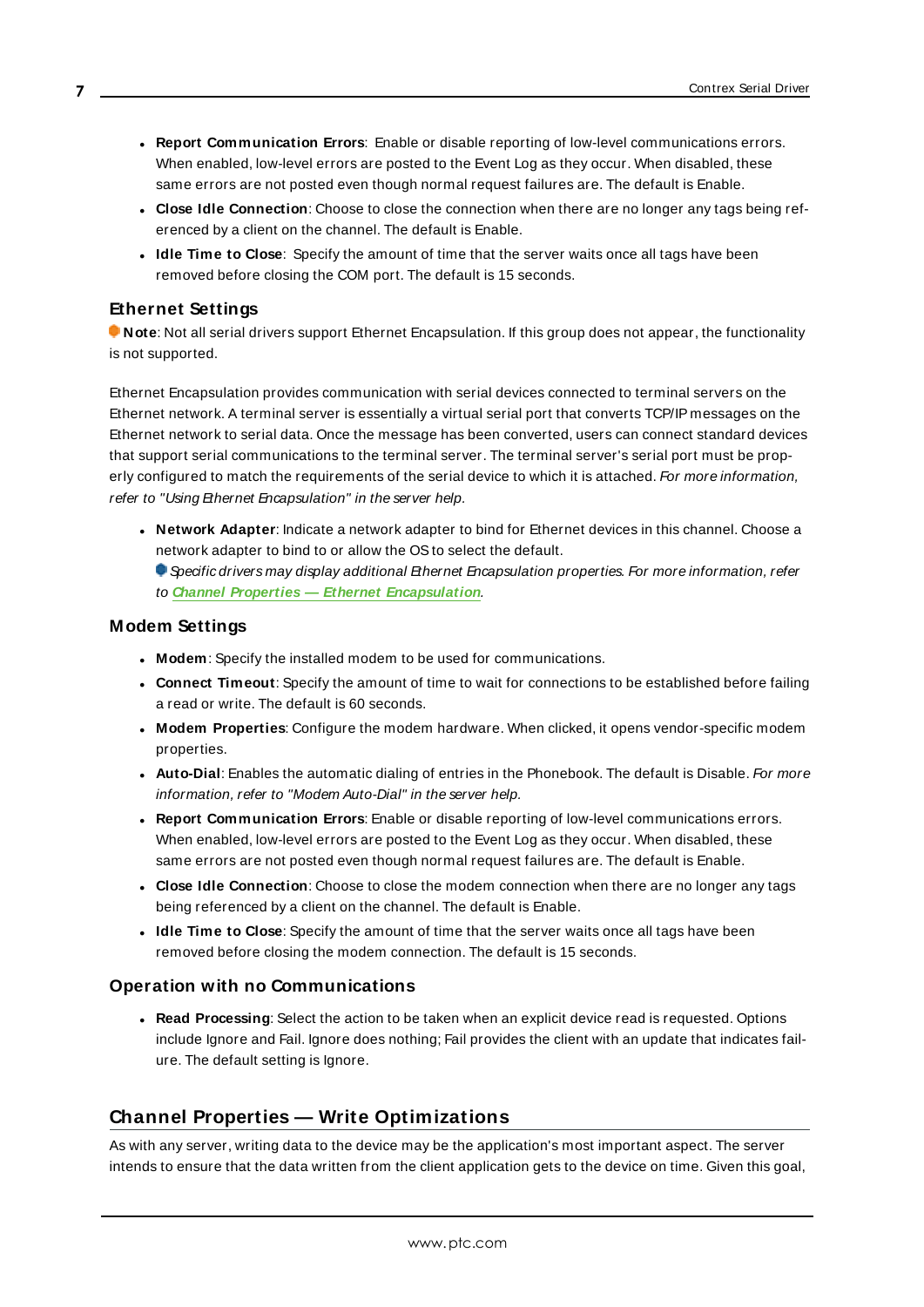- <sup>l</sup> **Report Communication Errors**: Enable or disable reporting of low-level communications errors. When enabled, low-level errors are posted to the Event Log as they occur. When disabled, these same errors are not posted even though normal request failures are. The default is Enable.
- <sup>l</sup> **Close Idle Connection**: Choose to close the connection when there are no longer any tags being referenced by a client on the channel. The default is Enable.
- <sup>l</sup> **Idle Time to Close**: Specify the amount of time that the server waits once all tags have been removed before closing the COM port. The default is 15 seconds.

#### <span id="page-6-1"></span>**Ethernet Settings**

**Note**: Not all serial drivers support Ethernet Encapsulation. If this group does not appear, the functionality is not supported.

Ethernet Encapsulation provides communication with serial devices connected to terminal servers on the Ethernet network. A terminal server is essentially a virtual serial port that converts TCP/IP messages on the Ethernet network to serial data. Once the message has been converted, users can connect standard devices that support serial communications to the terminal server. The terminal server's serial port must be properly configured to match the requirements of the serial device to which it is attached. For more information, refer to "Using Ethernet Encapsulation" in the server help.

**· Network Adapter**: Indicate a network adapter to bind for Ethernet devices in this channel. Choose a network adapter to bind to or allow the OSto select the default.  $\bullet$  Specific drivers may display additional Ethernet Encapsulation properties. For more information, refer

to **Channel Properties — Ethernet Encapsulation**.

#### <span id="page-6-3"></span>**Modem Settings**

- **Modem**: Specify the installed modem to be used for communications.
- **Connect Timeout**: Specify the amount of time to wait for connections to be established before failing a read or write. The default is 60 seconds.
- <sup>l</sup> **Modem Properties**: Configure the modem hardware. When clicked, it opens vendor-specific modem properties.
- **Auto-Dial**: Enables the automatic dialing of entries in the Phonebook. The default is Disable. For more information, refer to "Modem Auto-Dial" in the server help.
- <sup>l</sup> **Report Communication Errors**: Enable or disable reporting of low-level communications errors. When enabled, low-level errors are posted to the Event Log as they occur. When disabled, these same errors are not posted even though normal request failures are. The default is Enable.
- **Close Idle Connection**: Choose to close the modem connection when there are no longer any tags being referenced by a client on the channel. The default is Enable.
- **.** Idle Time to Close: Specify the amount of time that the server waits once all tags have been removed before closing the modem connection. The default is 15 seconds.

#### <span id="page-6-2"></span>**Operation with no Communications**

**Read Processing**: Select the action to be taken when an explicit device read is requested. Options include Ignore and Fail. Ignore does nothing; Fail provides the client with an update that indicates failure. The default setting is Ignore.

#### <span id="page-6-0"></span>**Channel Properties — Write Optimizations**

As with any server, writing data to the device may be the application's most important aspect. The server intends to ensure that the data written from the client application gets to the device on time. Given this goal,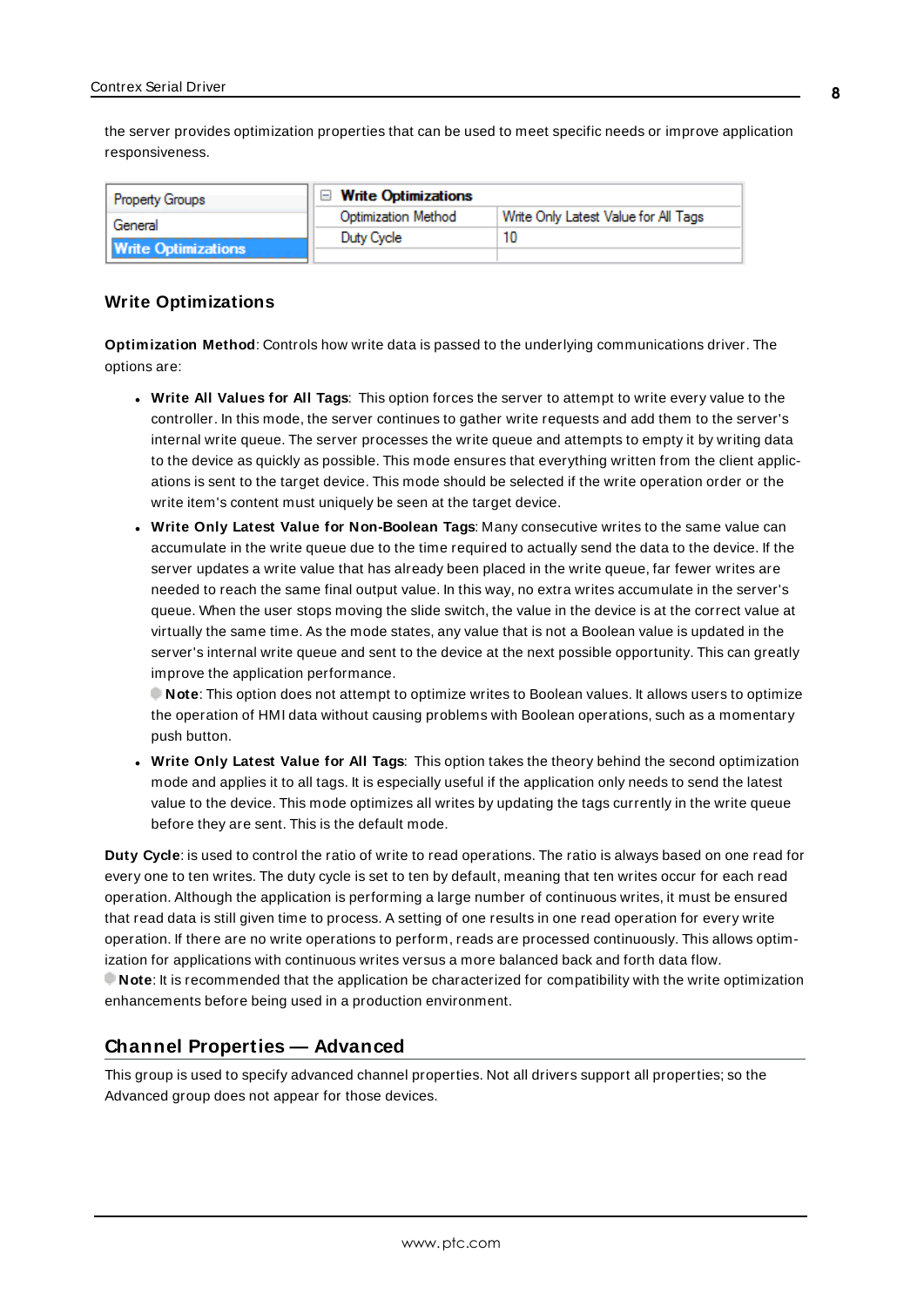the server provides optimization properties that can be used to meet specific needs or improve application responsiveness.

| <b>Property Groups</b>     | $\Box$ Write Optimizations |                                      |
|----------------------------|----------------------------|--------------------------------------|
| General                    | <b>Optimization Method</b> | Write Only Latest Value for All Tags |
|                            | Duty Cycle                 |                                      |
| <b>Write Optimizations</b> |                            |                                      |

#### **Write Optimizations**

**Optimization Method**: Controls how write data is passed to the underlying communications driver. The options are:

- <sup>l</sup> **Write All Values for All Tags**: This option forces the server to attempt to write every value to the controller. In this mode, the server continues to gather write requests and add them to the server's internal write queue. The server processes the write queue and attempts to empty it by writing data to the device as quickly as possible. This mode ensures that everything written from the client applications is sent to the target device. This mode should be selected if the write operation order or the write item's content must uniquely be seen at the target device.
- <sup>l</sup> **Write Only Latest Value for Non-Boolean Tags**: Many consecutive writes to the same value can accumulate in the write queue due to the time required to actually send the data to the device. If the server updates a write value that has already been placed in the write queue, far fewer writes are needed to reach the same final output value. In this way, no extra writes accumulate in the server's queue. When the user stops moving the slide switch, the value in the device is at the correct value at virtually the same time. As the mode states, any value that is not a Boolean value is updated in the server's internal write queue and sent to the device at the next possible opportunity. This can greatly improve the application performance.

**Note**: This option does not attempt to optimize writes to Boolean values. It allows users to optimize the operation of HMI data without causing problems with Boolean operations, such as a momentary push button.

<sup>l</sup> **Write Only Latest Value for All Tags**: This option takes the theory behind the second optimization mode and applies it to all tags. It is especially useful if the application only needs to send the latest value to the device. This mode optimizes all writes by updating the tags currently in the write queue before they are sent. This is the default mode.

**Duty Cycle**: is used to control the ratio of write to read operations. The ratio is always based on one read for every one to ten writes. The duty cycle is set to ten by default, meaning that ten writes occur for each read operation. Although the application is performing a large number of continuous writes, it must be ensured that read data is still given time to process. A setting of one results in one read operation for every write operation. If there are no write operations to perform, reads are processed continuously. This allows optimization for applications with continuous writes versus a more balanced back and forth data flow. **Note**: It is recommended that the application be characterized for compatibility with the write optimization enhancements before being used in a production environment.

#### <span id="page-7-0"></span>**Channel Properties — Advanced**

This group is used to specify advanced channel properties. Not all drivers support all properties; so the Advanced group does not appear for those devices.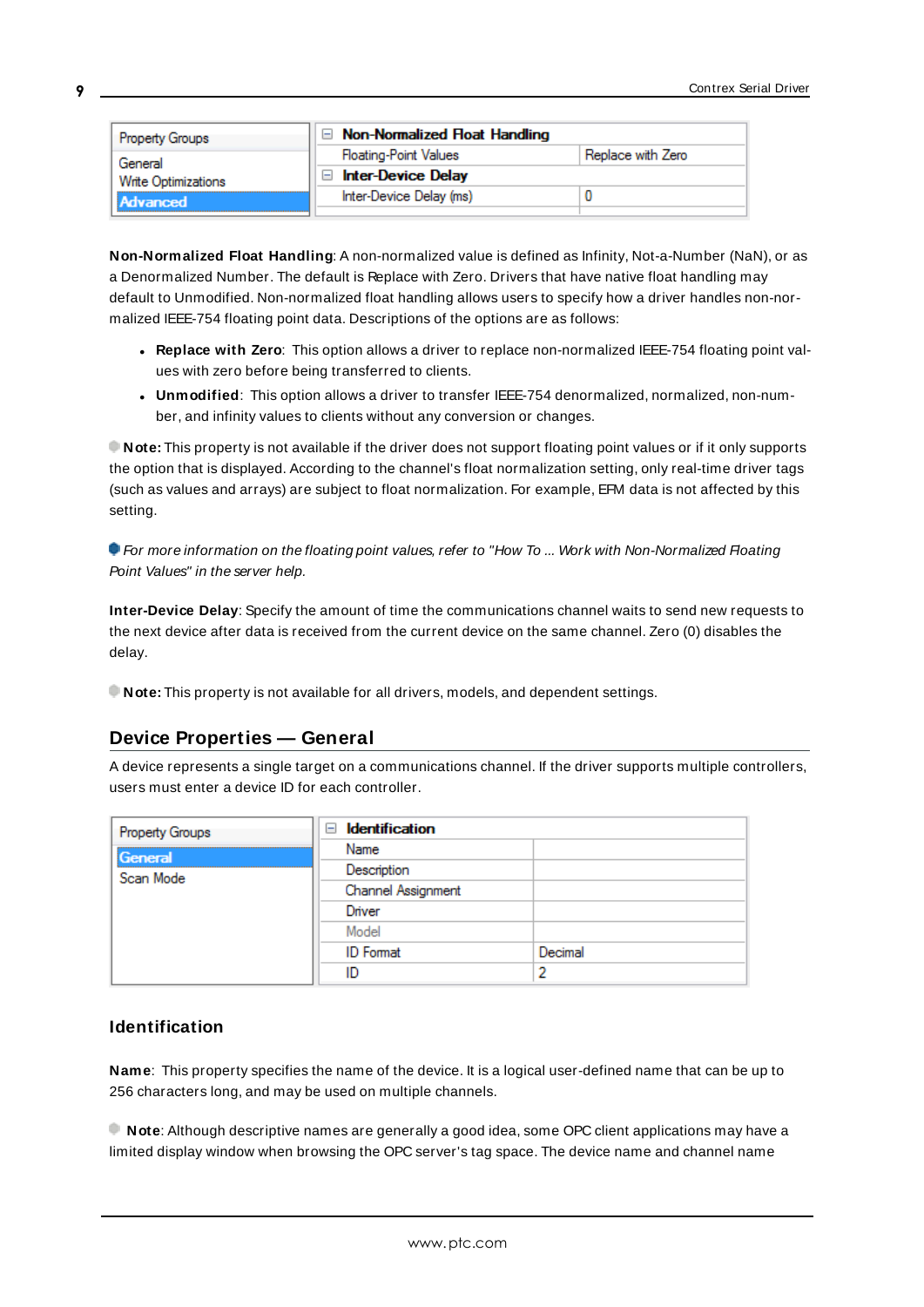| <b>Property Groups</b> | $\Box$ Non-Normalized Float Handling |                   |
|------------------------|--------------------------------------|-------------------|
| General                | <b>Floating-Point Values</b>         | Replace with Zero |
| Write Optimizations    | <b>Inter-Device Delay</b>            |                   |
| <b>Advanced</b>        | Inter-Device Delay (ms)              |                   |
|                        |                                      |                   |

**Non-Normalized Float Handling**: A non-normalized value is defined as Infinity, Not-a-Number (NaN), or as a Denormalized Number. The default is Replace with Zero. Drivers that have native float handling may default to Unmodified. Non-normalized float handling allows users to specify how a driver handles non-normalized IEEE-754 floating point data. Descriptions of the options are as follows:

- <sup>l</sup> **Replace with Zero**: This option allows a driver to replace non-normalized IEEE-754 floating point values with zero before being transferred to clients.
- <sup>l</sup> **Unmodified**: This option allows a driver to transfer IEEE-754 denormalized, normalized, non-number, and infinity values to clients without any conversion or changes.

**Note:** This property is not available if the driver does not support floating point values or if it only supports the option that is displayed. According to the channel's float normalization setting, only real-time driver tags (such as values and arrays) are subject to float normalization. For example, EFM data is not affected by this setting.

**For more information on the floating point values, refer to "How To ... Work with Non-Normalized Floating** Point Values" in the server help.

**Inter-Device Delay**: Specify the amount of time the communications channel waits to send new requests to the next device after data is received from the current device on the same channel. Zero (0) disables the delay.

<span id="page-8-0"></span>**Note:** This property is not available for all drivers, models, and dependent settings.

#### **Device Properties — General**

A device represents a single target on a communications channel. If the driver supports multiple controllers, users must enter a device ID for each controller.

| <b>Property Groups</b> | <b>Identification</b><br>$=$ |         |
|------------------------|------------------------------|---------|
| General                | Name                         |         |
| Scan Mode              | Description                  |         |
|                        | Channel Assignment           |         |
|                        | Driver                       |         |
|                        | Model                        |         |
|                        | <b>ID</b> Format             | Decimal |
|                        | ID                           |         |

#### <span id="page-8-1"></span>**Identification**

**Name**: This property specifies the name of the device. It is a logical user-defined name that can be up to 256 characters long, and may be used on multiple channels.

**Note**: Although descriptive names are generally a good idea, some OPC client applications may have a limited display window when browsing the OPC server's tag space. The device name and channel name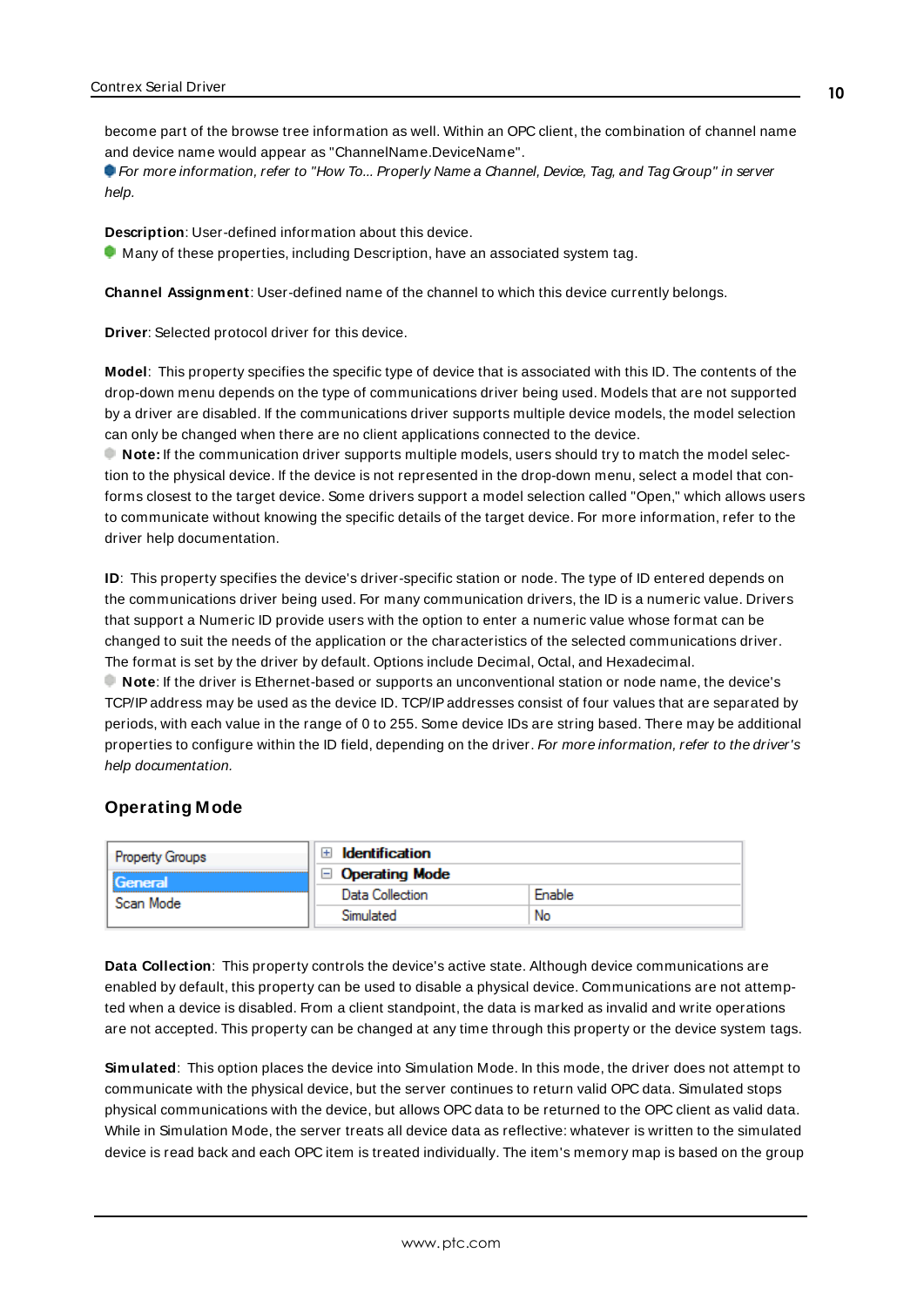become part of the browse tree information as well. Within an OPC client, the combination of channel name and device name would appear as "ChannelName.DeviceName".

For more information, refer to "How To... Properly Name a Channel, Device, Tag, and Tag Group" in server help.

**Description**: User-defined information about this device.

<span id="page-9-1"></span> $\bullet$  Many of these properties, including Description, have an associated system tag.

<span id="page-9-3"></span>**Channel Assignment**: User-defined name of the channel to which this device currently belongs.

<span id="page-9-5"></span>**Driver**: Selected protocol driver for this device.

**Model**: This property specifies the specific type of device that is associated with this ID. The contents of the drop-down menu depends on the type of communications driver being used. Models that are not supported by a driver are disabled. If the communications driver supports multiple device models, the model selection can only be changed when there are no client applications connected to the device.

**Note:** If the communication driver supports multiple models, users should try to match the model selection to the physical device. If the device is not represented in the drop-down menu, select a model that conforms closest to the target device. Some drivers support a model selection called "Open," which allows users to communicate without knowing the specific details of the target device. For more information, refer to the driver help documentation.

<span id="page-9-4"></span>**ID**: This property specifies the device's driver-specific station or node. The type of ID entered depends on the communications driver being used. For many communication drivers, the ID is a numeric value. Drivers that support a Numeric ID provide users with the option to enter a numeric value whose format can be changed to suit the needs of the application or the characteristics of the selected communications driver. The format is set by the driver by default. Options include Decimal, Octal, and Hexadecimal. **Note**: If the driver is Ethernet-based or supports an unconventional station or node name, the device's

TCP/IPaddress may be used as the device ID. TCP/IPaddresses consist of four values that are separated by periods, with each value in the range of 0 to 255. Some device IDs are string based. There may be additional properties to configure within the ID field, depending on the driver. For more information, refer to the driver's help documentation.

#### <span id="page-9-0"></span>**Operating Mode**

| <b>Property Groups</b> | Identification        |        |
|------------------------|-----------------------|--------|
| <b>General</b>         | $\Box$ Operating Mode |        |
| Scan Mode              | Data Collection       | Enable |
|                        | Simulated             | No     |

<span id="page-9-2"></span>**Data Collection**: This property controls the device's active state. Although device communications are enabled by default, this property can be used to disable a physical device. Communications are not attempted when a device is disabled. From a client standpoint, the data is marked as invalid and write operations are not accepted. This property can be changed at any time through this property or the device system tags.

**Simulated**: This option places the device into Simulation Mode. In this mode, the driver does not attempt to communicate with the physical device, but the server continues to return valid OPC data. Simulated stops physical communications with the device, but allows OPC data to be returned to the OPC client as valid data. While in Simulation Mode, the server treats all device data as reflective: whatever is written to the simulated device is read back and each OPC item is treated individually. The item's memory map is based on the group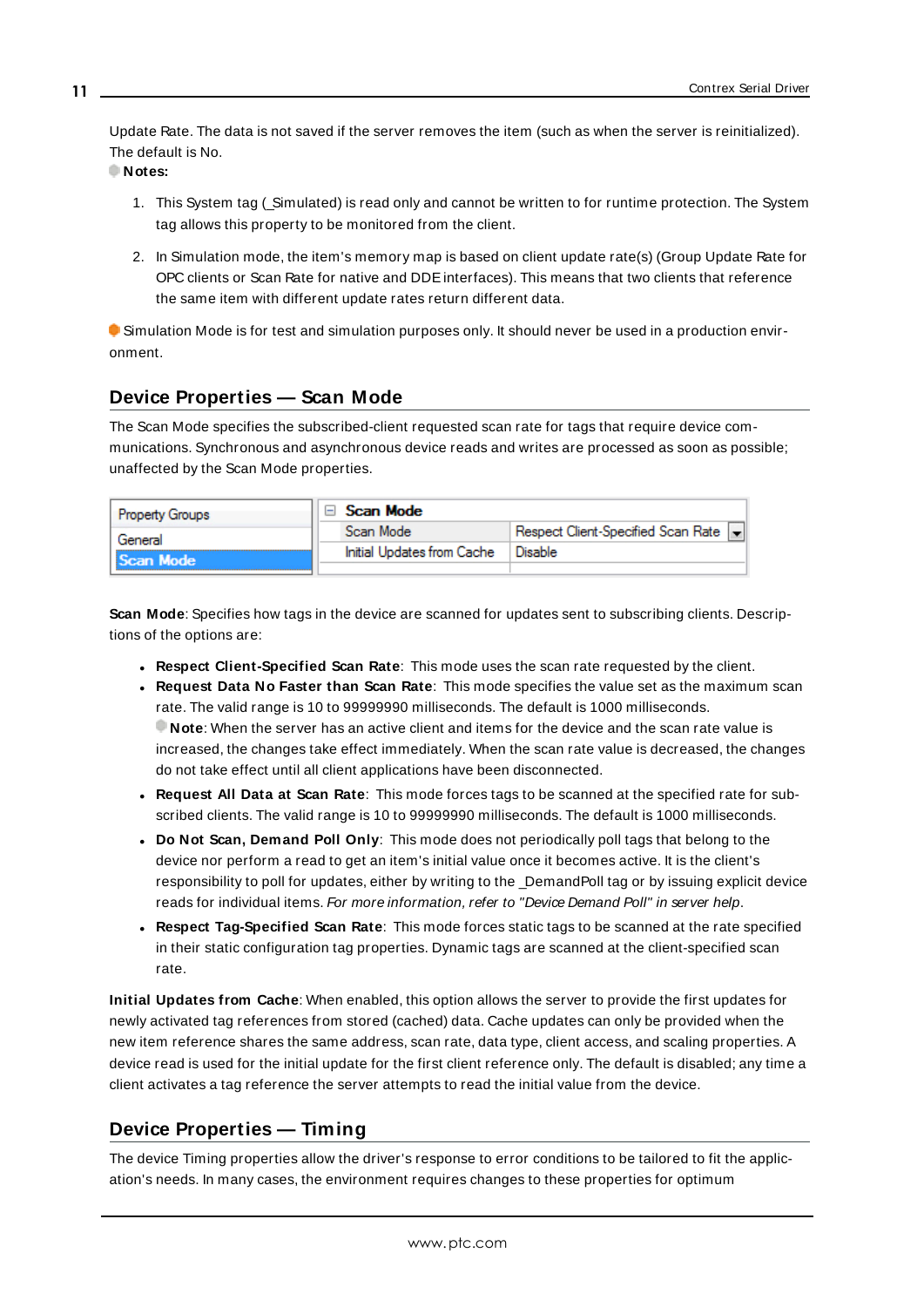<span id="page-10-6"></span>Update Rate. The data is not saved if the server removes the item (such as when the server is reinitialized). The default is No.

**Notes:**

- 1. This System tag (\_Simulated) is read only and cannot be written to for runtime protection. The System tag allows this property to be monitored from the client.
- 2. In Simulation mode, the item's memory map is based on client update rate(s) (Group Update Rate for OPC clients or Scan Rate for native and DDEinterfaces). This means that two clients that reference the same item with different update rates return different data.

 Simulation Mode is for test and simulation purposes only. It should never be used in a production environment.

#### <span id="page-10-0"></span>**Device Properties — Scan Mode**

The Scan Mode specifies the subscribed-client requested scan rate for tags that require device communications. Synchronous and asynchronous device reads and writes are processed as soon as possible; unaffected by the Scan Mode properties.

| <b>Property Groups</b> | Scan Mode                  |                                    |
|------------------------|----------------------------|------------------------------------|
| General                | Scan Mode                  | Respect Client-Specified Scan Rate |
| Scan Mode              | Initial Updates from Cache | Disable                            |
|                        |                            |                                    |

<span id="page-10-5"></span>**Scan Mode**: Specifies how tags in the device are scanned for updates sent to subscribing clients. Descriptions of the options are:

- <sup>l</sup> **Respect Client-Specified Scan Rate**: This mode uses the scan rate requested by the client.
- <sup>l</sup> **Request Data No Faster than Scan Rate**: This mode specifies the value set as the maximum scan rate. The valid range is 10 to 99999990 milliseconds. The default is 1000 milliseconds. **Note**: When the server has an active client and items for the device and the scan rate value is increased, the changes take effect immediately. When the scan rate value is decreased, the changes do not take effect until all client applications have been disconnected.
- <sup>l</sup> **Request All Data at Scan Rate**: This mode forces tags to be scanned at the specified rate for subscribed clients. The valid range is 10 to 99999990 milliseconds. The default is 1000 milliseconds.
- <span id="page-10-2"></span><sup>l</sup> **Do Not Scan, Demand Poll Only**: This mode does not periodically poll tags that belong to the device nor perform a read to get an item's initial value once it becomes active. It is the client's responsibility to poll for updates, either by writing to the \_DemandPoll tag or by issuing explicit device reads for individual items. For more information, refer to "Device Demand Poll" in server help.
- <span id="page-10-4"></span><sup>l</sup> **Respect Tag-Specified Scan Rate**: This mode forces static tags to be scanned at the rate specified in their static configuration tag properties. Dynamic tags are scanned at the client-specified scan rate.

<span id="page-10-3"></span>**Initial Updates from Cache**: When enabled, this option allows the server to provide the first updates for newly activated tag references from stored (cached) data. Cache updates can only be provided when the new item reference shares the same address, scan rate, data type, client access, and scaling properties. A device read is used for the initial update for the first client reference only. The default is disabled; any time a client activates a tag reference the server attempts to read the initial value from the device.

#### <span id="page-10-1"></span>**Device Properties — Timing**

The device Timing properties allow the driver's response to error conditions to be tailored to fit the application's needs. In many cases, the environment requires changes to these properties for optimum

**11**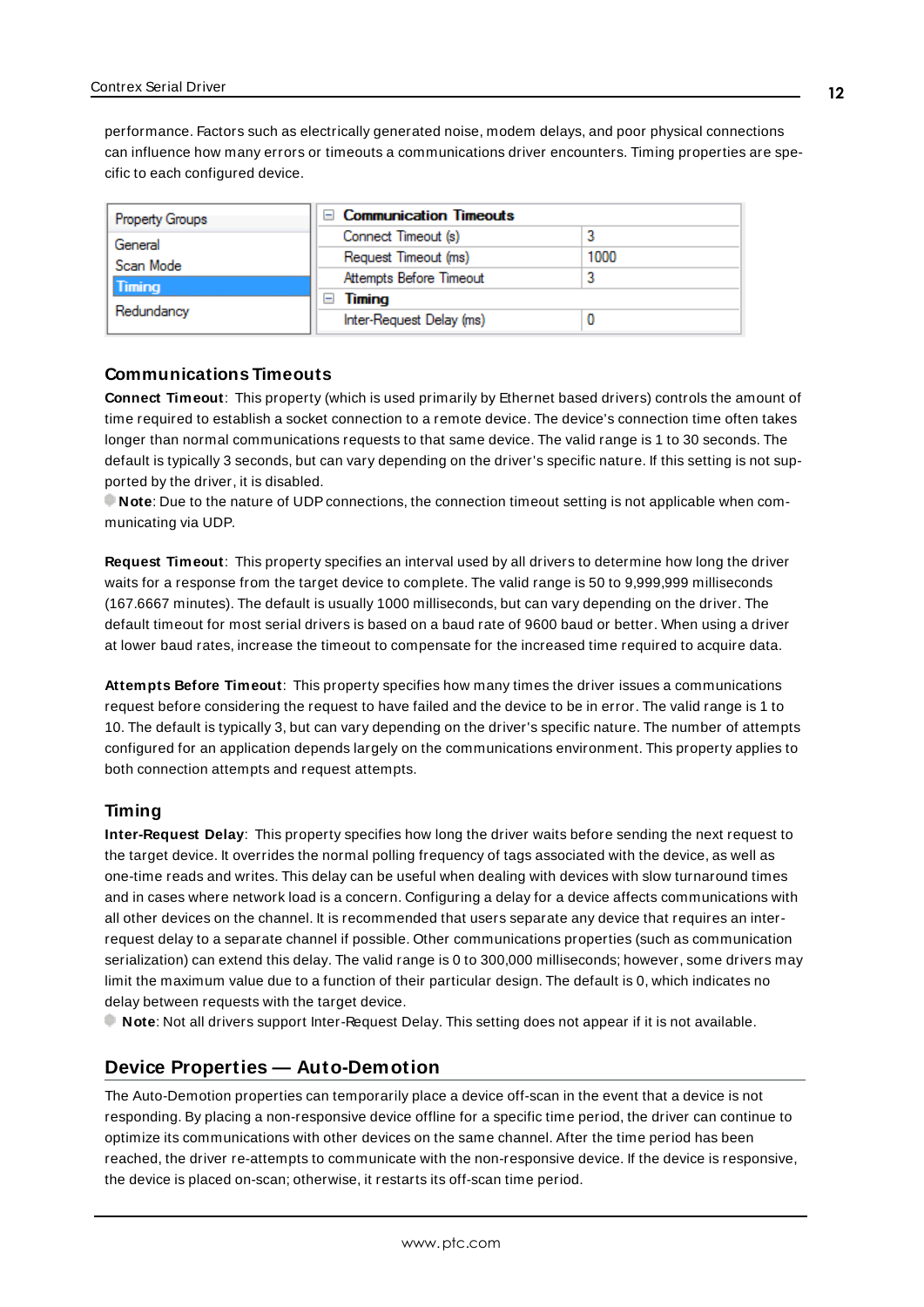<span id="page-11-2"></span>performance. Factors such as electrically generated noise, modem delays, and poor physical connections can influence how many errors or timeouts a communications driver encounters. Timing properties are specific to each configured device.

| <b>Property Groups</b> | □ Communication Timeouts |      |
|------------------------|--------------------------|------|
| General                | Connect Timeout (s)      |      |
| Scan Mode              | Request Timeout (ms)     | 1000 |
| Timing                 | Attempts Before Timeout  |      |
| Redundancy             | Timing<br>-              |      |
|                        | Inter-Request Delay (ms) |      |

#### <span id="page-11-3"></span>**Communications Timeouts**

**Connect Timeout**: This property (which is used primarily by Ethernet based drivers) controls the amount of time required to establish a socket connection to a remote device. The device's connection time often takes longer than normal communications requests to that same device. The valid range is 1 to 30 seconds. The default is typically 3 seconds, but can vary depending on the driver's specific nature. If this setting is not supported by the driver, it is disabled.

**Note**: Due to the nature of UDPconnections, the connection timeout setting is not applicable when communicating via UDP.

<span id="page-11-5"></span>**Request Timeout**: This property specifies an interval used by all drivers to determine how long the driver waits for a response from the target device to complete. The valid range is 50 to 9,999,999 milliseconds (167.6667 minutes). The default is usually 1000 milliseconds, but can vary depending on the driver. The default timeout for most serial drivers is based on a baud rate of 9600 baud or better. When using a driver at lower baud rates, increase the timeout to compensate for the increased time required to acquire data.

<span id="page-11-1"></span>**Attempts Before Timeout**: This property specifies how many times the driver issues a communications request before considering the request to have failed and the device to be in error. The valid range is 1 to 10. The default is typically 3, but can vary depending on the driver's specific nature. The number of attempts configured for an application depends largely on the communications environment. This property applies to both connection attempts and request attempts.

#### <span id="page-11-4"></span>**Timing**

**Inter-Request Delay**: This property specifies how long the driver waits before sending the next request to the target device. It overrides the normal polling frequency of tags associated with the device, as well as one-time reads and writes. This delay can be useful when dealing with devices with slow turnaround times and in cases where network load is a concern. Configuring a delay for a device affects communications with all other devices on the channel. It is recommended that users separate any device that requires an interrequest delay to a separate channel if possible. Other communications properties (such as communication serialization) can extend this delay. The valid range is 0 to 300,000 milliseconds; however, some drivers may limit the maximum value due to a function of their particular design. The default is 0, which indicates no delay between requests with the target device.

<span id="page-11-0"></span>**Note**: Not all drivers support Inter-Request Delay. This setting does not appear if it is not available.

### **Device Properties — Auto-Demotion**

The Auto-Demotion properties can temporarily place a device off-scan in the event that a device is not responding. By placing a non-responsive device offline for a specific time period, the driver can continue to optimize its communications with other devices on the same channel. After the time period has been reached, the driver re-attempts to communicate with the non-responsive device. If the device is responsive, the device is placed on-scan; otherwise, it restarts its off-scan time period.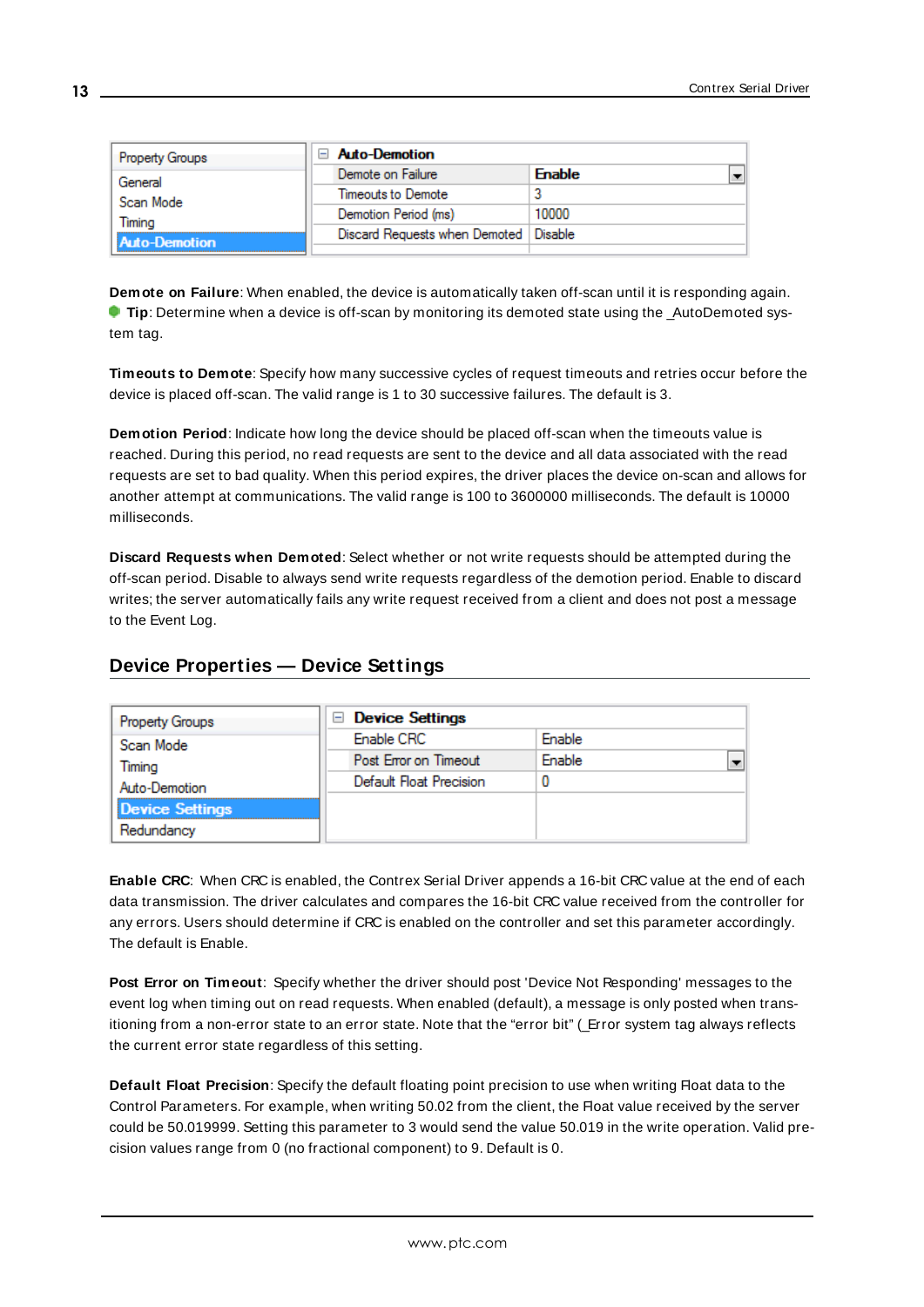| <b>Property Groups</b> | $\Box$ Auto-Demotion          |               |
|------------------------|-------------------------------|---------------|
| General                | Demote on Failure             | <b>Enable</b> |
| Scan Mode              | Timeouts to Demote            |               |
| Timina                 | Demotion Period (ms)          | 10000         |
| Auto-Demotion          | Discard Requests when Demoted | Disable       |
|                        |                               |               |

<span id="page-12-2"></span>**Demote on Failure**: When enabled, the device is automatically taken off-scan until it is responding again. **Tip**: Determine when a device is off-scan by monitoring its demoted state using the \_AutoDemoted system tag.

<span id="page-12-5"></span>**Timeouts to Demote**: Specify how many successive cycles of request timeouts and retries occur before the device is placed off-scan. The valid range is 1 to 30 successive failures. The default is 3.

<span id="page-12-3"></span>**Demotion Period**: Indicate how long the device should be placed off-scan when the timeouts value is reached. During this period, no read requests are sent to the device and all data associated with the read requests are set to bad quality. When this period expires, the driver places the device on-scan and allows for another attempt at communications. The valid range is 100 to 3600000 milliseconds. The default is 10000 milliseconds.

<span id="page-12-4"></span>**Discard Requests when Demoted**: Select whether or not write requests should be attempted during the off-scan period. Disable to always send write requests regardless of the demotion period. Enable to discard writes; the server automatically fails any write request received from a client and does not post a message to the Event Log.

## <span id="page-12-0"></span>**Device Properties — Device Settings**

| Property Groups        | <b>Device Settings</b><br>- |        |  |
|------------------------|-----------------------------|--------|--|
| Scan Mode              | Enable CRC                  | Enable |  |
| Timing                 | Post Error on Timeout       | Enable |  |
| Auto-Demotion          | Default Float Precision     | 0      |  |
| <b>Device Settings</b> |                             |        |  |
| Redundancy             |                             |        |  |

<span id="page-12-1"></span>**Enable CRC**: When CRC is enabled, the Contrex Serial Driver appends a 16-bit CRC value at the end of each data transmission. The driver calculates and compares the 16-bit CRC value received from the controller for any errors. Users should determine if CRC is enabled on the controller and set this parameter accordingly. The default is Enable.

**Post Error on Timeout**: Specify whether the driver should post 'Device Not Responding' messages to the event log when timing out on read requests. When enabled (default), a message is only posted when transitioning from a non-error state to an error state. Note that the "error bit" (\_Error system tag always reflects the current error state regardless of this setting.

**Default Float Precision**: Specify the default floating point precision to use when writing Float data to the Control Parameters. For example, when writing 50.02 from the client, the Float value received by the server could be 50.019999. Setting this parameter to 3 would send the value 50.019 in the write operation. Valid precision values range from 0 (no fractional component) to 9. Default is 0.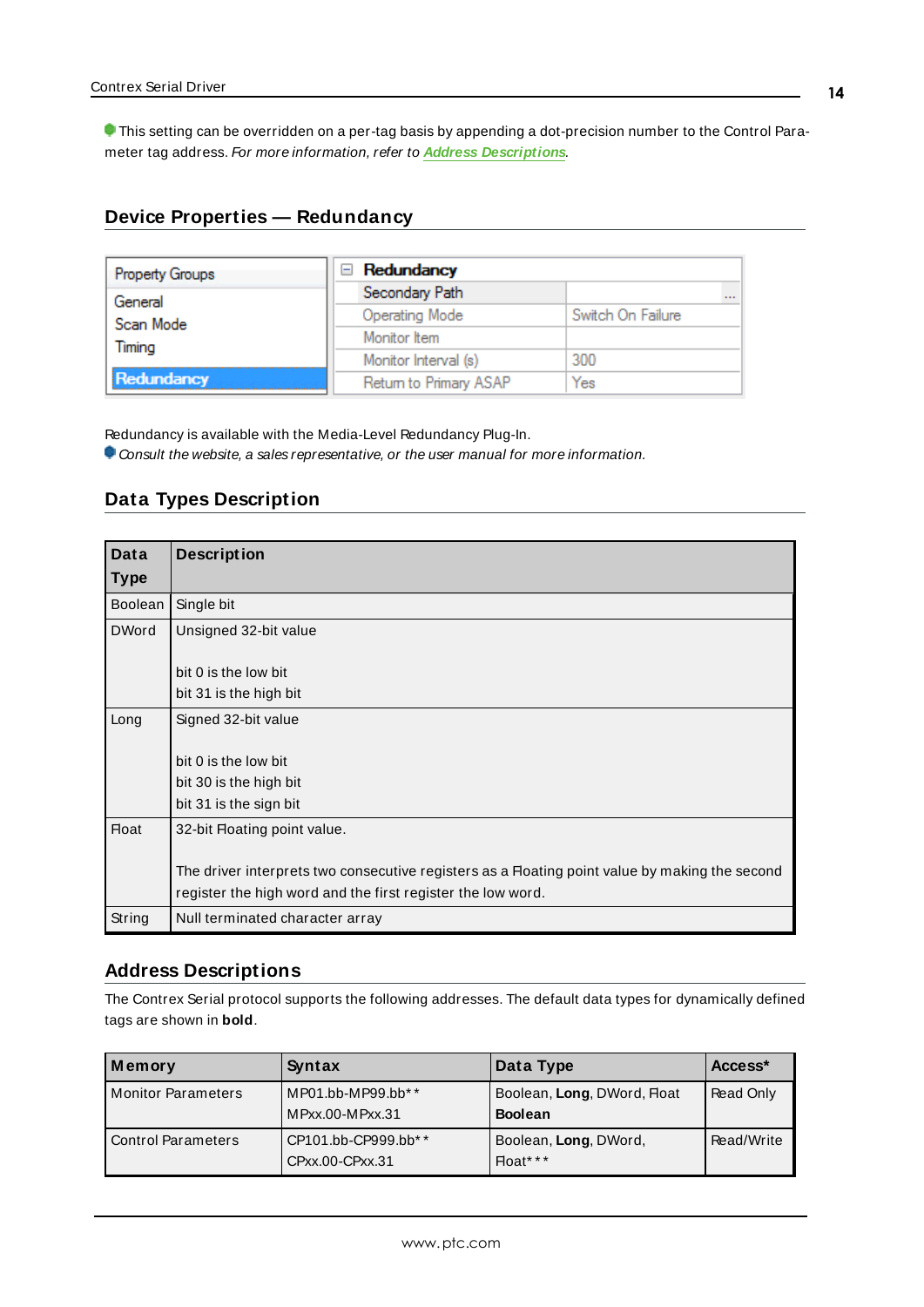This setting can be overridden on a per-tag basis by appending a dot-precision number to the Control Parameter tag address. For more information, refer to **Address [Descriptions](#page-13-2)**.

# <span id="page-13-0"></span>**Device Properties — Redundancy**

| Property Groups | Redundancy<br>-        |                   |
|-----------------|------------------------|-------------------|
| General         | Secondary Path         | $\cdots$          |
| Scan Mode       | <b>Operating Mode</b>  | Switch On Failure |
| Timing          | Monitor Item           |                   |
|                 | Monitor Interval (s)   | 300               |
| Redundancy      | Return to Primary ASAP | Yes               |

Redundancy is available with the Media-Level Redundancy Plug-In.

<span id="page-13-1"></span>Consult the website, a sales representative, or the user manual for more information.

#### **Data Types Description**

<span id="page-13-6"></span><span id="page-13-4"></span><span id="page-13-3"></span>

| Data         | <b>Description</b>                                                                             |
|--------------|------------------------------------------------------------------------------------------------|
| Type         |                                                                                                |
| Boolean      | Single bit                                                                                     |
| <b>DWord</b> | Unsigned 32-bit value                                                                          |
|              |                                                                                                |
|              | bit 0 is the low bit                                                                           |
|              | bit 31 is the high bit                                                                         |
| Long         | Signed 32-bit value                                                                            |
|              |                                                                                                |
|              | bit 0 is the low bit                                                                           |
|              | bit 30 is the high bit                                                                         |
|              | bit 31 is the sign bit                                                                         |
| <b>Float</b> | 32-bit Floating point value.                                                                   |
|              |                                                                                                |
|              | The driver interprets two consecutive registers as a Floating point value by making the second |
|              | register the high word and the first register the low word.                                    |
| String       | Null terminated character array                                                                |

#### <span id="page-13-7"></span><span id="page-13-5"></span><span id="page-13-2"></span>**Address Descriptions**

The Contrex Serial protocol supports the following addresses. The default data types for dynamically defined tags are shown in **bold**.

| Memory                    | Syntax                                 | Data Type                                     | Access <sup>*</sup> |
|---------------------------|----------------------------------------|-----------------------------------------------|---------------------|
| <b>Monitor Parameters</b> | MP01.bb-MP99.bb**<br>MPxx.00-MPxx.31   | Boolean, Long, DWord, Float<br><b>Boolean</b> | Read Only           |
| Control Parameters        | CP101.bb-CP999.bb**<br>CPxx.00-CPxx.31 | Boolean, Long, DWord,<br>Float***             | Read/Write          |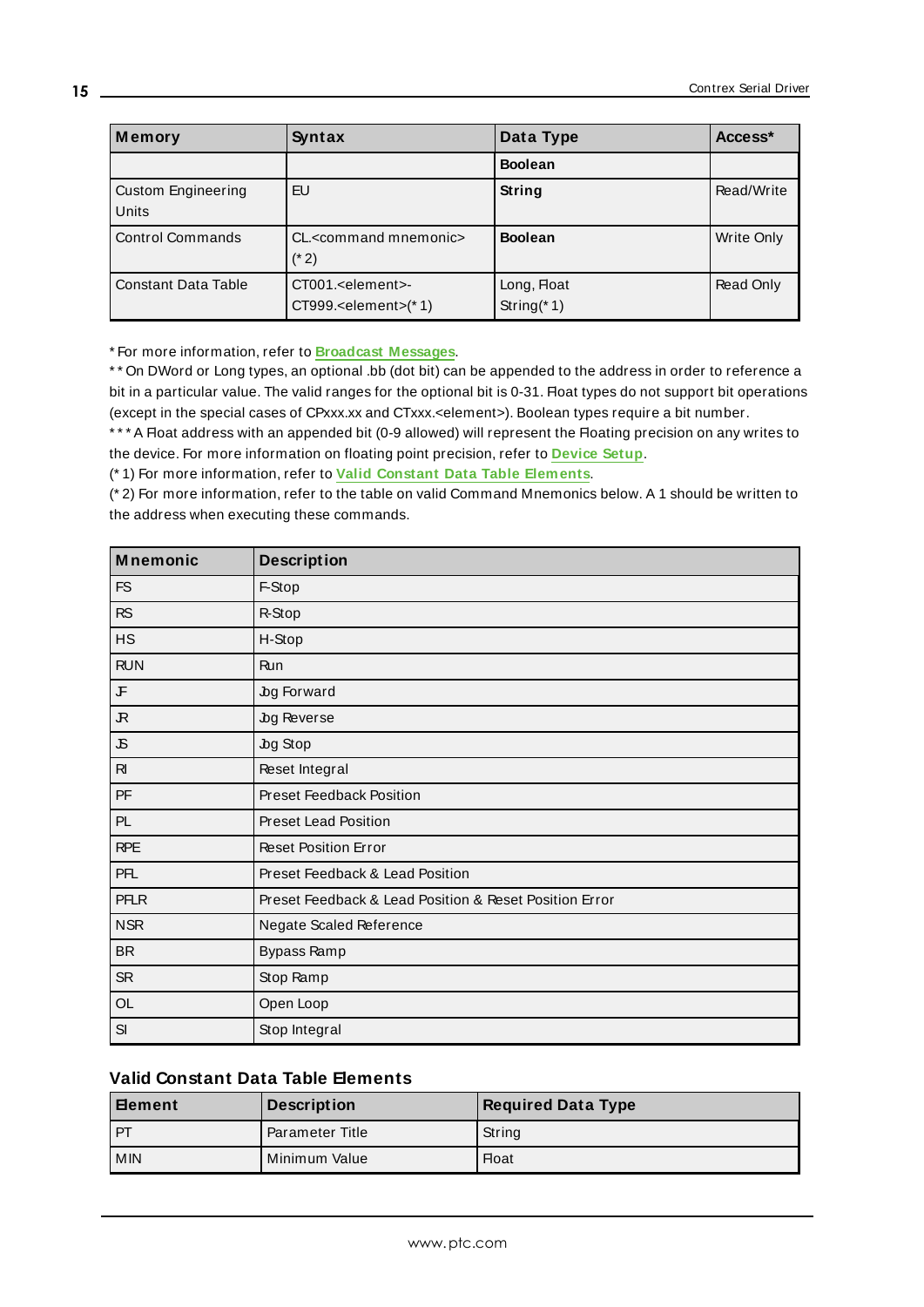| Memory                             | <b>Syntax</b>                                                                          | Data Type                     | Access*    |
|------------------------------------|----------------------------------------------------------------------------------------|-------------------------------|------------|
|                                    |                                                                                        | <b>Boolean</b>                |            |
| <b>Custom Engineering</b><br>Units | EU                                                                                     | String                        | Read/Write |
| <b>Control Commands</b>            | CL. <command mnemonic=""/><br>$(* 2)$                                                  | <b>Boolean</b>                | Write Only |
| <b>Constant Data Table</b>         | CT001. <element>-<br/><math>CT999</math>.<element><math>(*)</math></element></element> | Long, Float<br>String $(* 1)$ | Read Only  |

\* For more information, refer to **[Broadcast](#page-15-0) Messages**.

\* \* On DWord or Long types, an optional .bb (dot bit) can be appended to the address in order to reference a bit in a particular value. The valid ranges for the optional bit is 0-31. Float types do not support bit operations (except in the special cases of CPxxx.xx and CTxxx.<element>). Boolean types require a bit number.

\*\*\* A Float address with an appended bit (0-9 allowed) will represent the Floating precision on any writes to the device. For more information on floating point precision, refer to **[Device](#page-2-2) Setup**.

(\* 1) For more information, refer to **Valid Constant Data Table [Elements](#page-14-0)**.

(\* 2) For more information, refer to the table on valid Command Mnemonics below. A 1 should be written to the address when executing these commands.

| <b>Mnemonic</b> | <b>Description</b>                                     |
|-----------------|--------------------------------------------------------|
| <b>FS</b>       | F-Stop                                                 |
| <b>RS</b>       | R-Stop                                                 |
| <b>HS</b>       | H-Stop                                                 |
| <b>RUN</b>      | Run                                                    |
| l F             | Jog Forward                                            |
| ${\mathcal R}$  | Jog Reverse                                            |
| $\mathfrak{S}$  | Jog Stop                                               |
| $R_{\rm I}$     | Reset Integral                                         |
| PF              | Preset Feedback Position                               |
| PL.             | <b>Preset Lead Position</b>                            |
| <b>RPE</b>      | <b>Reset Position Error</b>                            |
| <b>PFL</b>      | Preset Feedback & Lead Position                        |
| <b>PFLR</b>     | Preset Feedback & Lead Position & Reset Position Error |
| <b>NSR</b>      | Negate Scaled Reference                                |
| <b>BR</b>       | Bypass Ramp                                            |
| <b>SR</b>       | Stop Ramp                                              |
| OL              | Open Loop                                              |
| SI              | Stop Integral                                          |

#### <span id="page-14-0"></span>**Valid Constant Data Table Elements**

| <b>∣Element</b> | <b>Description</b>     | <b>Required Data Type</b> |
|-----------------|------------------------|---------------------------|
| l PT            | <b>Parameter Title</b> | String                    |
| l MIN           | Minimum Value          | <b>Float</b>              |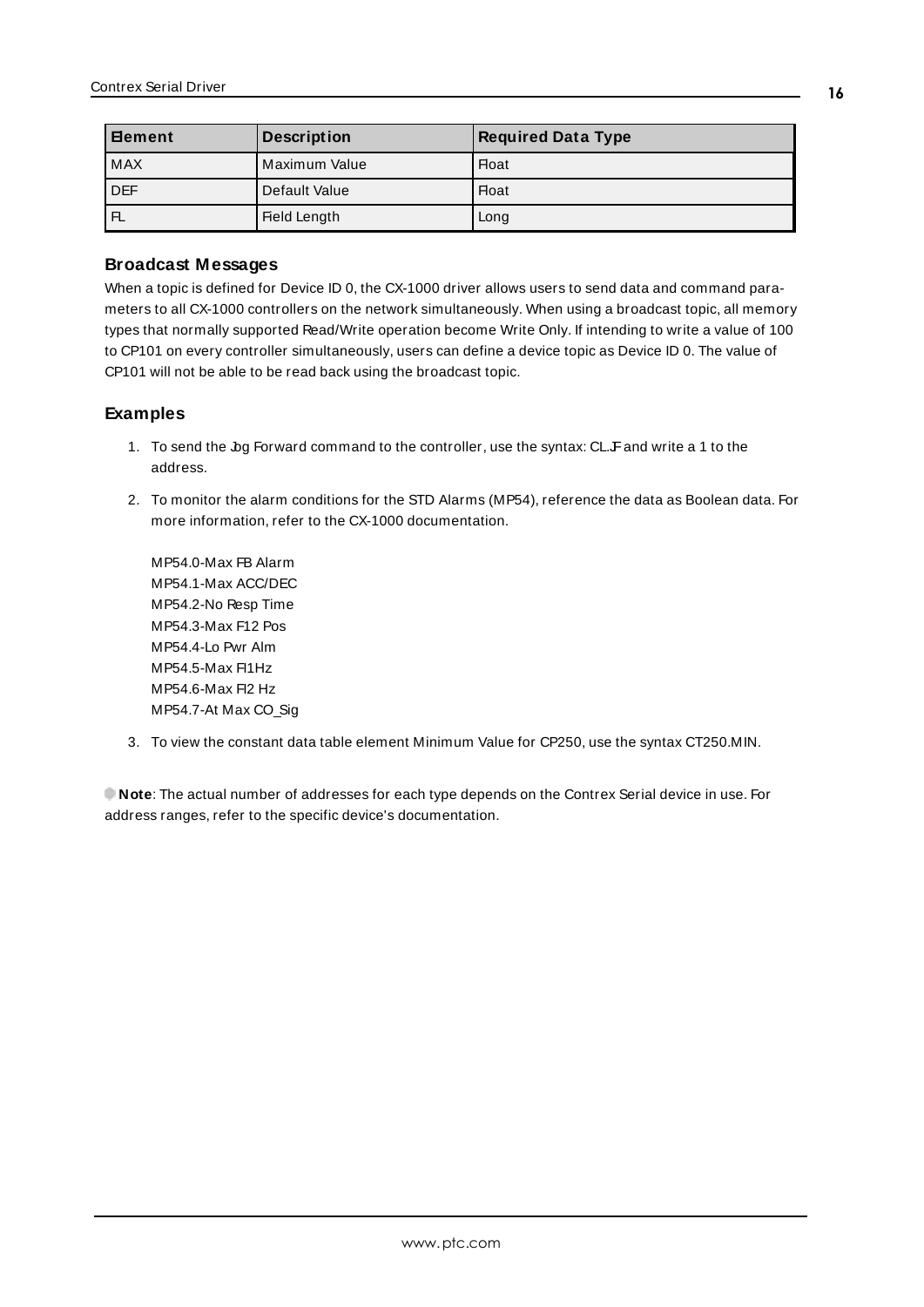| <b>Element</b> | <b>Description</b> | <b>Required Data Type</b> |
|----------------|--------------------|---------------------------|
| <b>MAX</b>     | Maximum Value      | <b>Float</b>              |
| <b>DEF</b>     | Default Value      | <b>Float</b>              |
| $\mathsf{F}$   | Field Length       | Long                      |

#### <span id="page-15-0"></span>**Broadcast Messages**

When a topic is defined for Device ID 0, the CX-1000 driver allows users to send data and command parameters to all CX-1000 controllers on the network simultaneously. When using a broadcast topic, all memory types that normally supported Read/Write operation become Write Only. If intending to write a value of 100 to CP101 on every controller simultaneously, users can define a device topic as Device ID 0. The value of CP101 will not be able to be read back using the broadcast topic.

#### **Examples**

- 1. To send the Jog Forward command to the controller, use the syntax: CL.F and write a 1 to the address.
- 2. To monitor the alarm conditions for the STD Alarms (MP54), reference the data as Boolean data. For more information, refer to the CX-1000 documentation.

MP54.0-Max FB Alarm MP54.1-Max ACC/DEC MP54.2-No Resp Time MP54.3-Max F12 Pos MP54.4-Lo Pwr Alm MP54.5-Max FI1Hz MP54.6-Max FI2 Hz MP54.7-At Max CO\_Sig

3. To view the constant data table element Minimum Value for CP250, use the syntax CT250.MIN.

**Note**: The actual number of addresses for each type depends on the Contrex Serial device in use. For address ranges, refer to the specific device's documentation.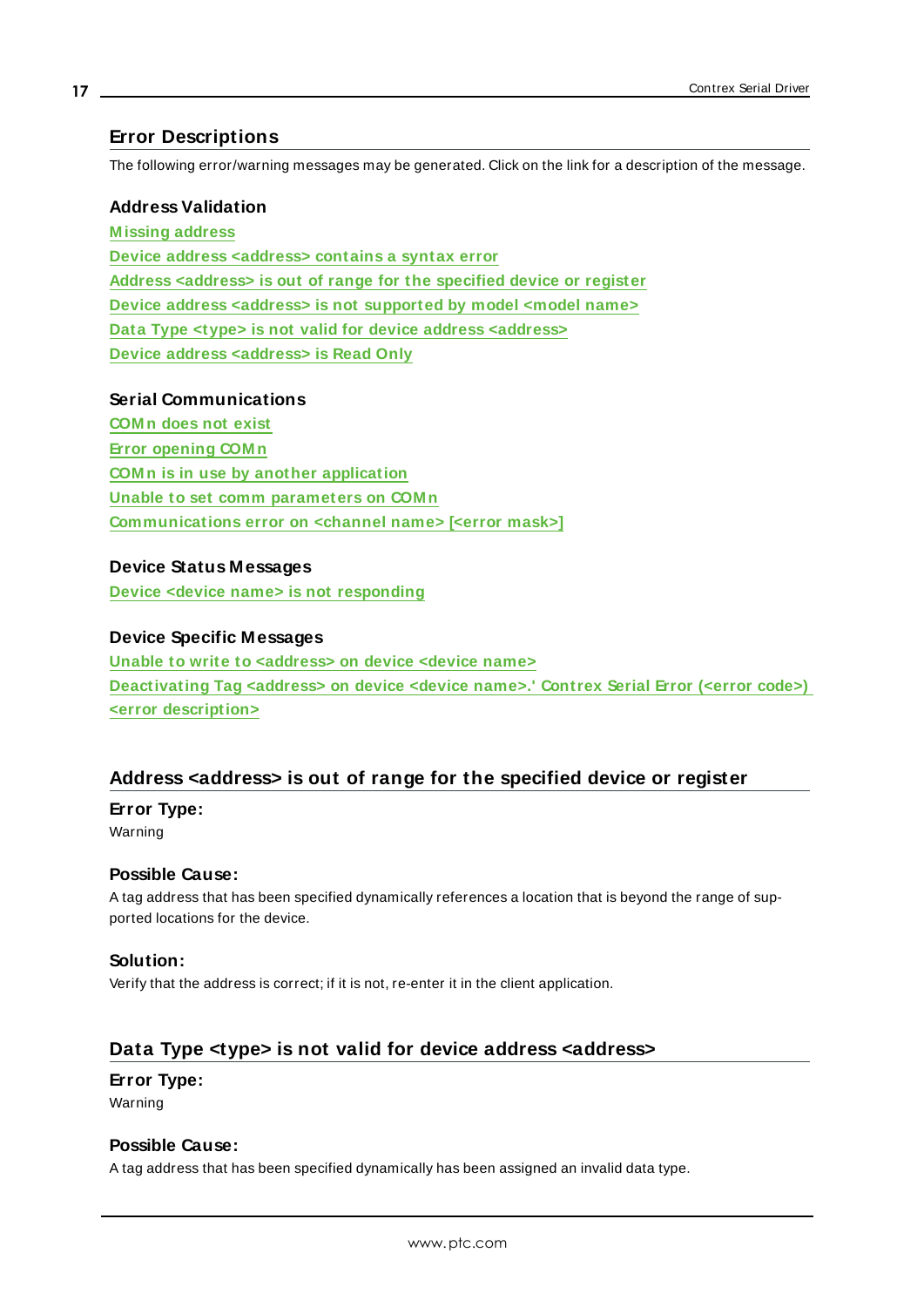#### <span id="page-16-0"></span>**Error Descriptions**

The following error/warning messages may be generated. Click on the link for a description of the message.

#### **Address Validation**

**[M issing](#page-17-3) address Device address [<address>](#page-17-0) contains a syntax error Address [<address>](#page-16-1) is out of range for the specified device or register Device address <address> is not [supported](#page-17-1) by model <model name> Data Type <type> is not valid for device address [<address>](#page-16-2) Device address [<address>](#page-17-2) is Read Only**

#### **Serial Communications**

**[COM n](#page-18-1) does not exist Error [opening](#page-19-0) COM n COM n is in use by another [application](#page-18-2) Unable to set comm [parameters](#page-19-1) on COM n [Communications](#page-18-0) error on <channel name> [<error mask>]**

#### **Device Status Messages**

**Device <device name> is not [responding](#page-19-2)**

#### **Device Specific Messages**

**Unable to write to [<address>](#page-20-1) on device <device name> [Deactivating](#page-20-0) Tag <address> on device <device name>.' Contrex Serial Error (<error code>) <error [description>](#page-20-0)**

#### <span id="page-16-1"></span>**Address <address> is out of range for the specified device or register**

#### **Error Type:**

Warning

#### **Possible Cause:**

A tag address that has been specified dynamically references a location that is beyond the range of supported locations for the device.

#### **Solution:**

Verify that the address is correct; if it is not, re-enter it in the client application.

#### <span id="page-16-2"></span>**Data Type <type> is not valid for device address <address>**

#### **Error Type:**

Warning

#### **Possible Cause:**

A tag address that has been specified dynamically has been assigned an invalid data type.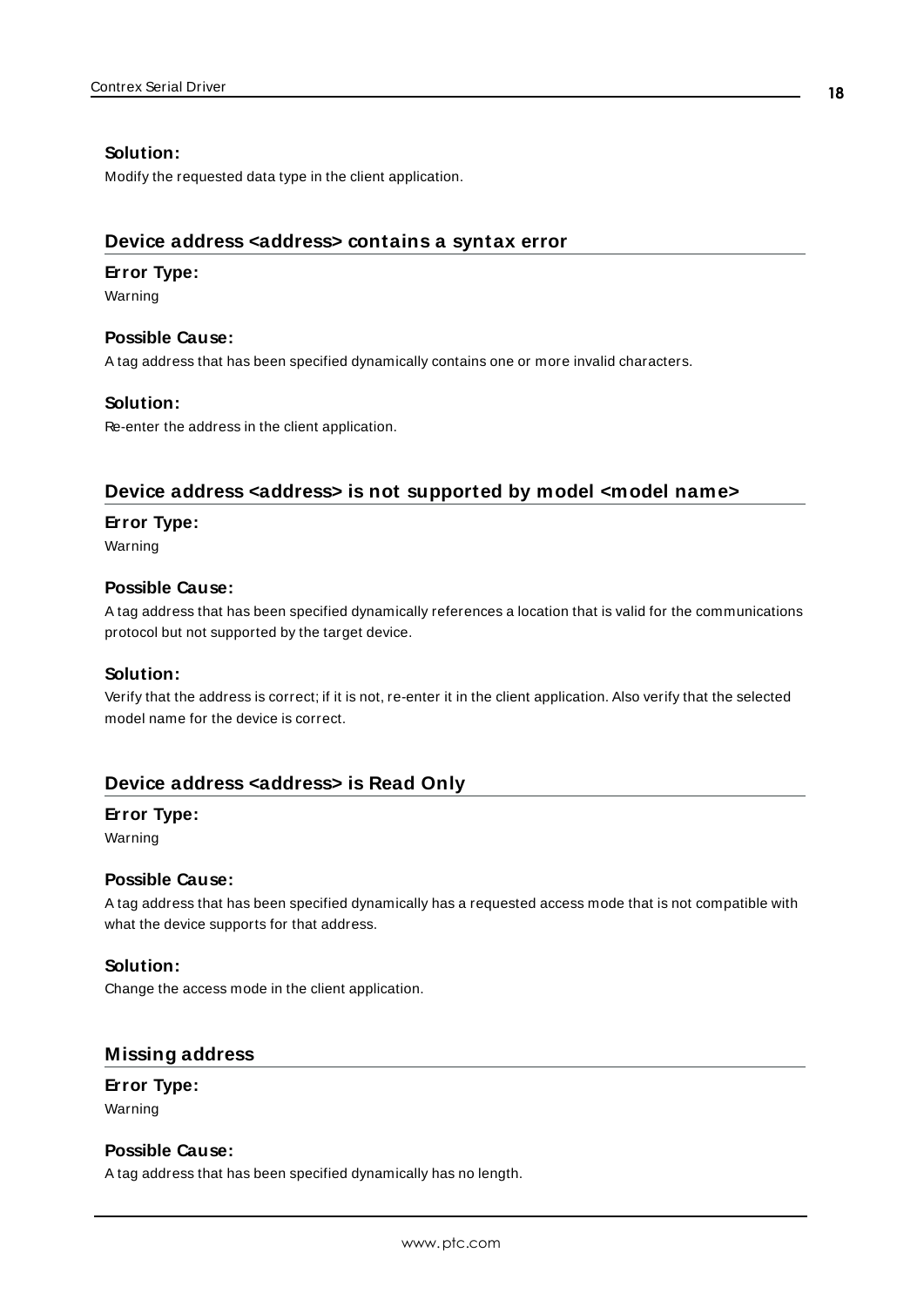#### **Solution:**

Modify the requested data type in the client application.

### <span id="page-17-0"></span>**Device address <address> contains a syntax error**

#### **Error Type:**

Warning

#### **Possible Cause:**

A tag address that has been specified dynamically contains one or more invalid characters.

#### **Solution:**

Re-enter the address in the client application.

### <span id="page-17-1"></span>**Device address <address> is not supported by model <model name>**

#### **Error Type:**

Warning

#### **Possible Cause:**

A tag address that has been specified dynamically references a location that is valid for the communications protocol but not supported by the target device.

#### **Solution:**

Verify that the address is correct; if it is not, re-enter it in the client application. Also verify that the selected model name for the device is correct.

## <span id="page-17-2"></span>**Device address <address> is Read Only**

#### **Error Type:**

Warning

#### **Possible Cause:**

A tag address that has been specified dynamically has a requested access mode that is not compatible with what the device supports for that address.

#### **Solution:**

Change the access mode in the client application.

#### <span id="page-17-3"></span>**Missing address**

**Error Type:** Warning

#### **Possible Cause:**

A tag address that has been specified dynamically has no length.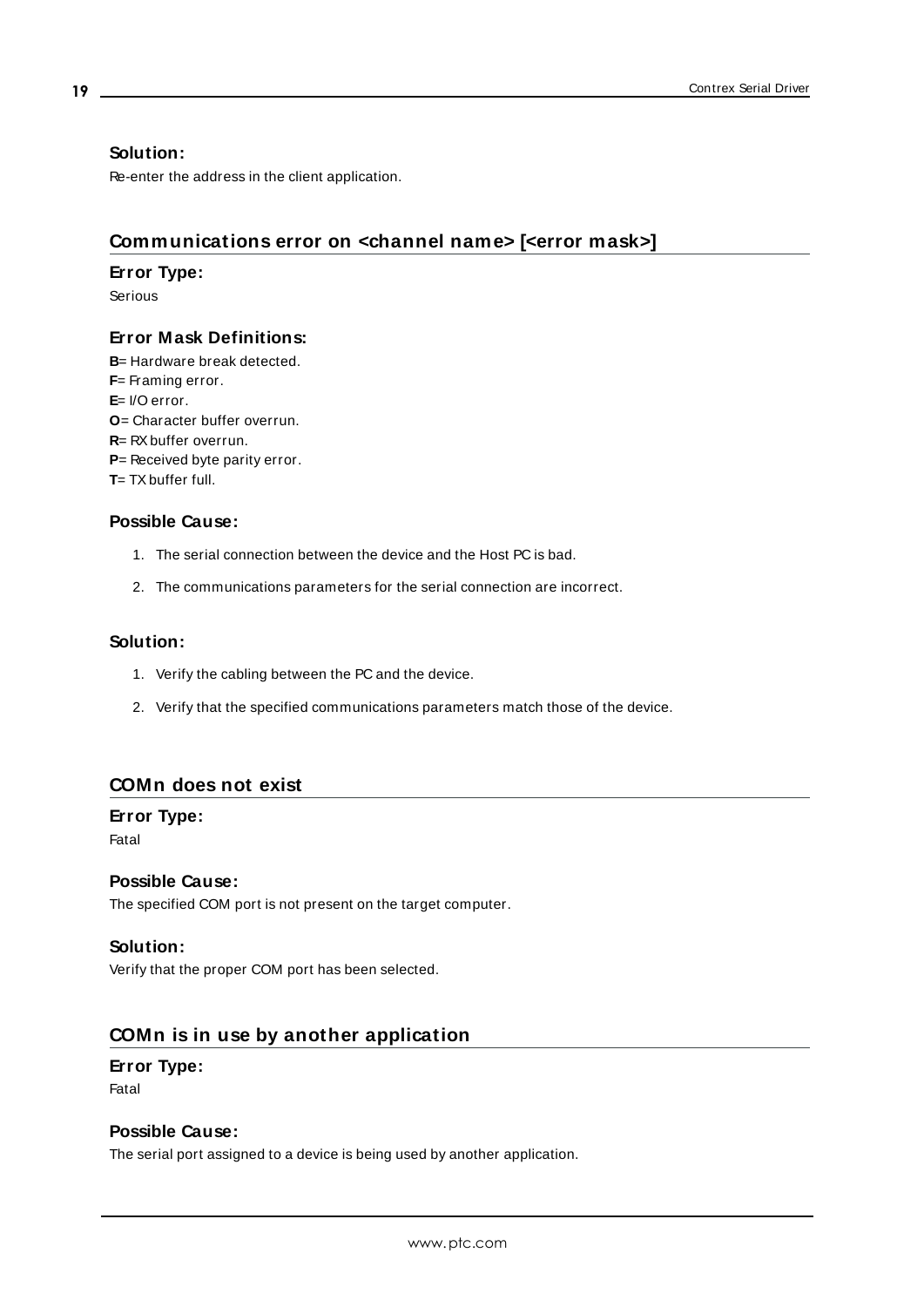#### **Solution:**

Re-enter the address in the client application.

## <span id="page-18-0"></span>**Communications error on <channel name> [<error mask>]**

#### **Error Type:**

Serious

### **Error Mask Definitions:**

<span id="page-18-5"></span><span id="page-18-4"></span><span id="page-18-3"></span>**B**= Hardware break detected. **F**= Framing error. **E**= I/O error. **O**= Character buffer overrun. **R**= RXbuffer overrun. **P**= Received byte parity error. **T**= TX buffer full.

### **Possible Cause:**

- 1. The serial connection between the device and the Host PC is bad.
- 2. The communications parameters for the serial connection are incorrect.

#### **Solution:**

- 1. Verify the cabling between the PC and the device.
- 2. Verify that the specified communications parameters match those of the device.

#### <span id="page-18-1"></span>**COMn does not exist**

# **Error Type:**

Fatal

#### **Possible Cause:**

The specified COM port is not present on the target computer.

#### **Solution:**

Verify that the proper COM port has been selected.

### <span id="page-18-2"></span>**COMn is in use by another application**

#### **Error Type:** Fatal

#### **Possible Cause:**

The serial port assigned to a device is being used by another application.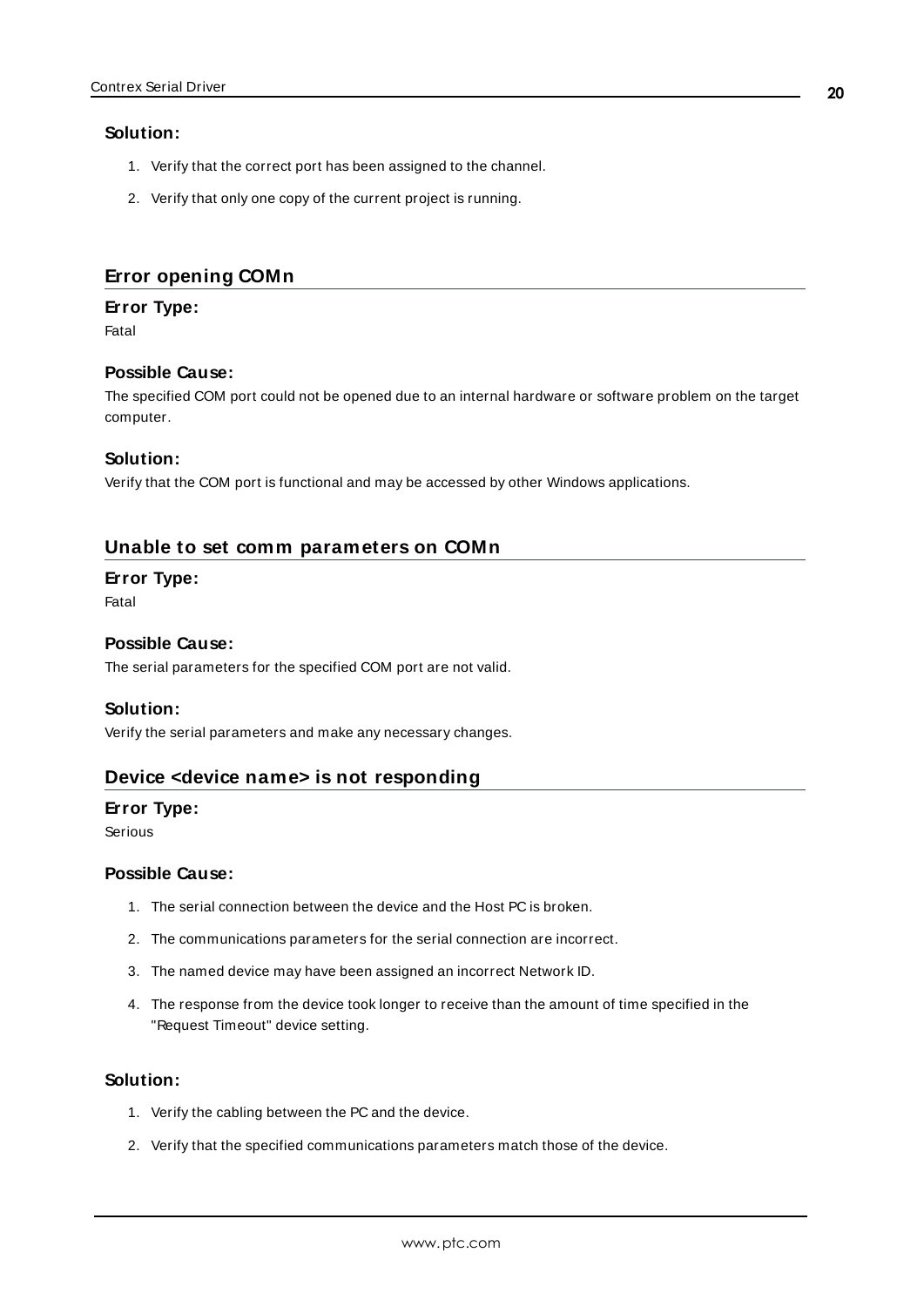#### **Solution:**

- 1. Verify that the correct port has been assigned to the channel.
- 2. Verify that only one copy of the current project is running.

#### <span id="page-19-0"></span>**Error opening COMn**

#### **Error Type:**

Fatal

#### **Possible Cause:**

The specified COM port could not be opened due to an internal hardware or software problem on the target computer.

#### **Solution:**

Verify that the COM port is functional and may be accessed by other Windows applications.

### <span id="page-19-1"></span>**Unable to set comm parameters on COMn**

#### **Error Type:**

Fatal

#### **Possible Cause:**

The serial parameters for the specified COM port are not valid.

#### **Solution:**

<span id="page-19-2"></span>Verify the serial parameters and make any necessary changes.

#### **Device <device name> is not responding**

#### **Error Type:**

Serious

#### **Possible Cause:**

- 1. The serial connection between the device and the Host PC is broken.
- 2. The communications parameters for the serial connection are incorrect.
- 3. The named device may have been assigned an incorrect Network ID.
- 4. The response from the device took longer to receive than the amount of time specified in the "Request Timeout" device setting.

#### **Solution:**

- 1. Verify the cabling between the PC and the device.
- 2. Verify that the specified communications parameters match those of the device.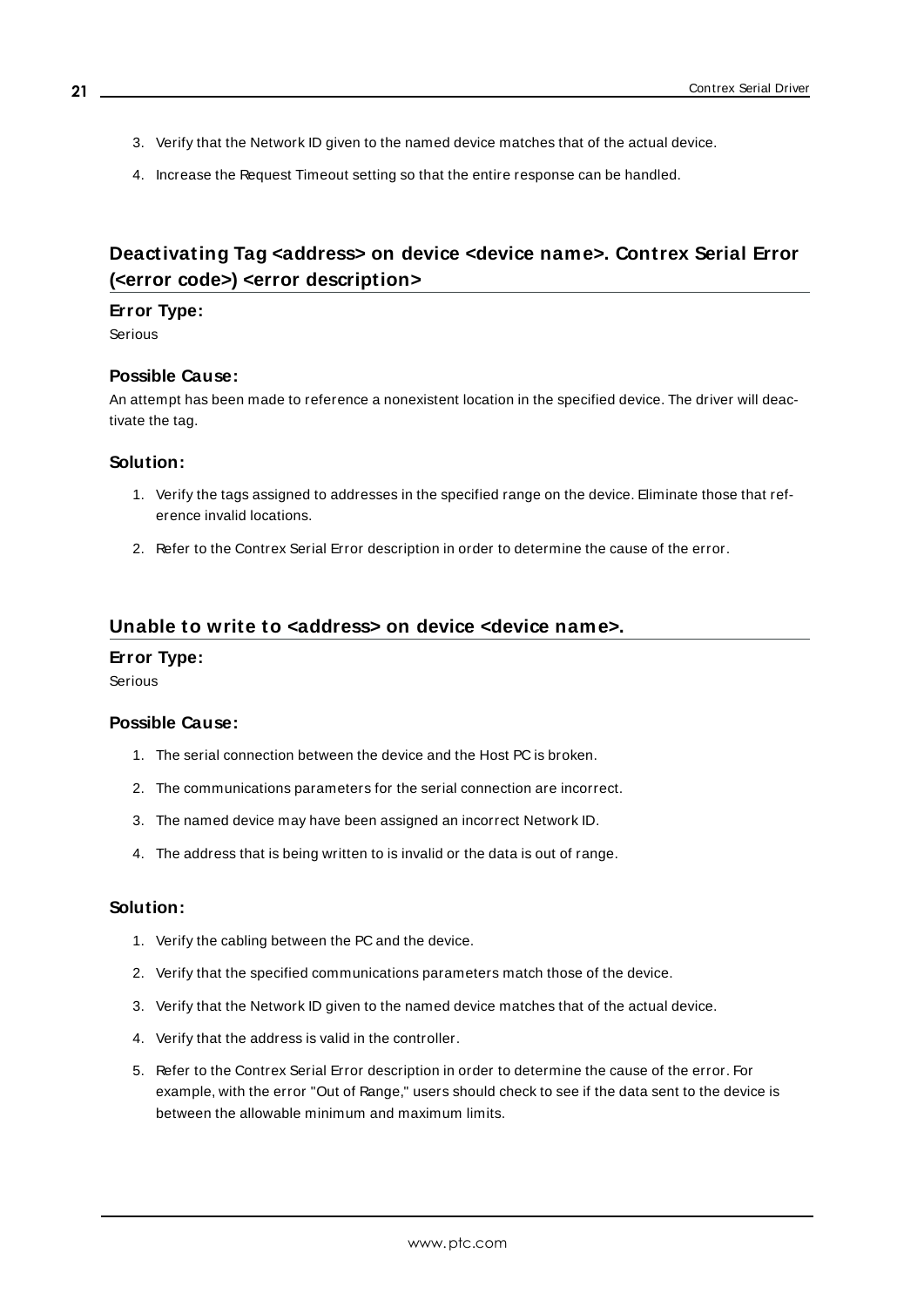- 3. Verify that the Network ID given to the named device matches that of the actual device.
- 4. Increase the Request Timeout setting so that the entire response can be handled.

# <span id="page-20-0"></span>**Deactivating Tag <address> on device <device name>. Contrex Serial Error (<error code>) <error description>**

#### **Error Type:**

Serious

#### **Possible Cause:**

An attempt has been made to reference a nonexistent location in the specified device. The driver will deactivate the tag.

#### **Solution:**

- 1. Verify the tags assigned to addresses in the specified range on the device. Eliminate those that reference invalid locations.
- 2. Refer to the Contrex Serial Error description in order to determine the cause of the error.

#### <span id="page-20-1"></span>**Unable to write to <address> on device <device name>.**

#### **Error Type:**

Serious

#### **Possible Cause:**

- 1. The serial connection between the device and the Host PC is broken.
- 2. The communications parameters for the serial connection are incorrect.
- 3. The named device may have been assigned an incorrect Network ID.
- 4. The address that is being written to is invalid or the data is out of range.

#### **Solution:**

- 1. Verify the cabling between the PC and the device.
- 2. Verify that the specified communications parameters match those of the device.
- 3. Verify that the Network ID given to the named device matches that of the actual device.
- 4. Verify that the address is valid in the controller.
- 5. Refer to the Contrex Serial Error description in order to determine the cause of the error. For example, with the error "Out of Range," users should check to see if the data sent to the device is between the allowable minimum and maximum limits.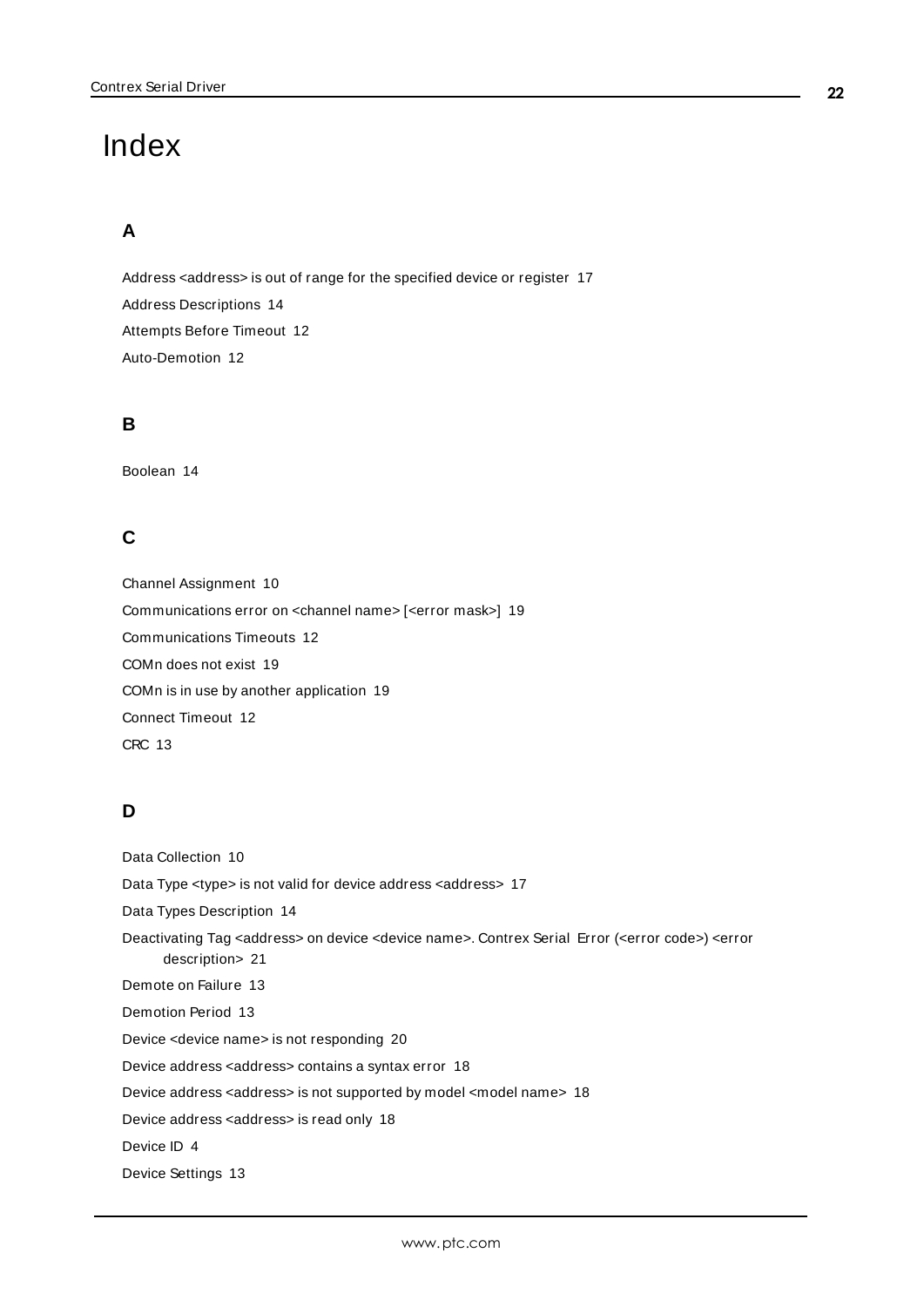# <span id="page-21-0"></span>Index

# **A**

Address <address> is out of range for the specified device or register [17](#page-16-1) Address Descriptions [14](#page-13-2) Attempts Before Timeout [12](#page-11-1) Auto-Demotion [12](#page-11-0)

# **B**

Boolean [14](#page-13-3)

# **C**

Channel Assignment [10](#page-9-1) Communications error on <channel name> [<error mask>] [19](#page-18-0) Communications Timeouts [12](#page-11-2) COMn does not exist [19](#page-18-1) COMn is in use by another application [19](#page-18-2) Connect Timeout [12](#page-11-3) CRC [13](#page-12-1)

# **D**

Data Collection [10](#page-9-2) Data Type <type> is not valid for device address <address> [17](#page-16-2) Data Types Description [14](#page-13-1) Deactivating Tag <address> on device <device name>. Contrex Serial Error (<error code>) <error description> [21](#page-20-0) Demote on Failure [13](#page-12-2) Demotion Period [13](#page-12-3) Device <device name> is not responding [20](#page-19-2) Device address <address> contains a syntax error [18](#page-17-0) Device address <address> is not supported by model <model name> [18](#page-17-1) Device address <address> is read only [18](#page-17-2) Device ID [4](#page-3-1) Device Settings [13](#page-12-0)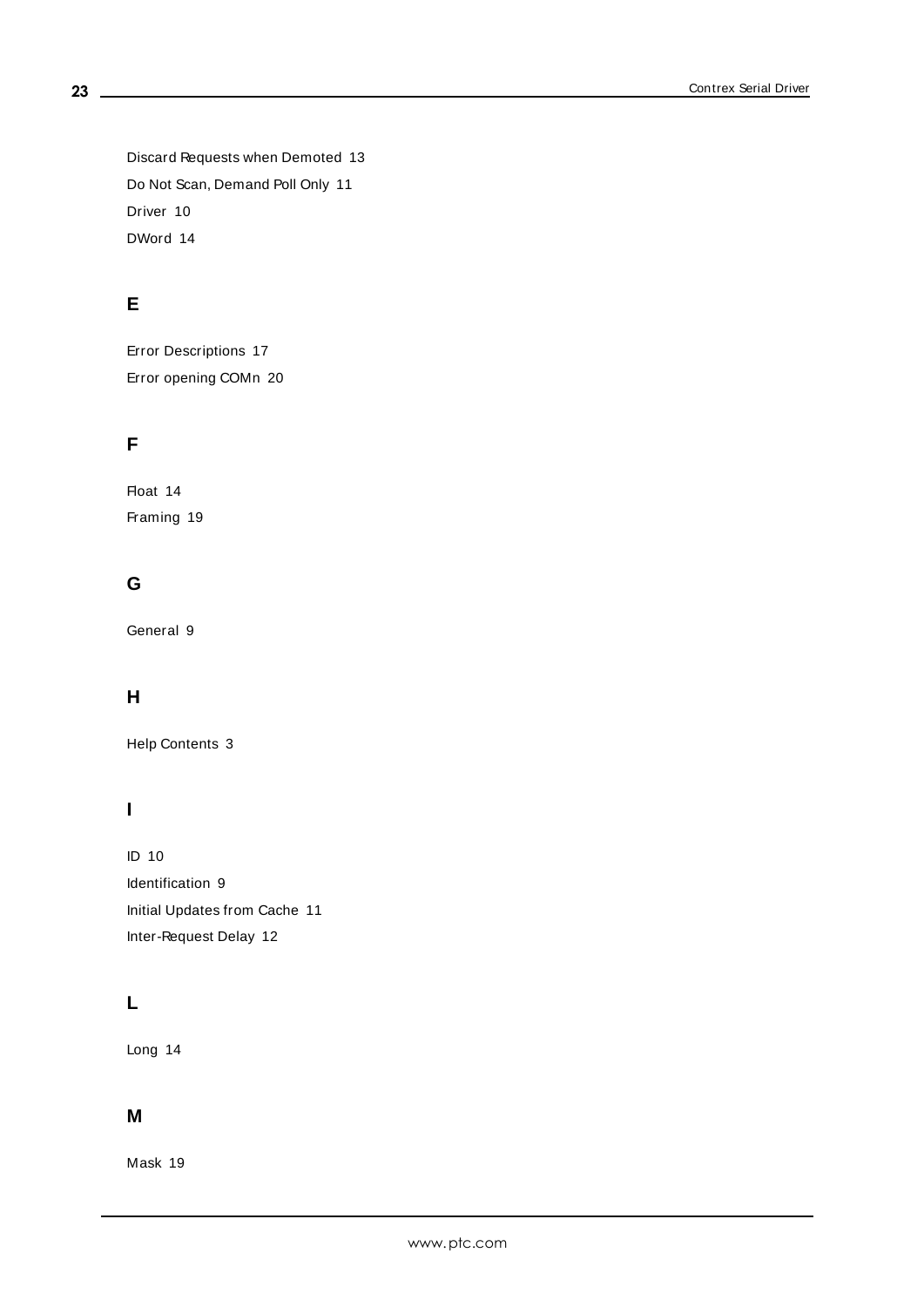Discard Requests when Demoted [13](#page-12-4) Do Not Scan, Demand Poll Only [11](#page-10-2) Driver [10](#page-9-3) DWord [14](#page-13-4)

# **E**

Error Descriptions [17](#page-16-0) Error opening COMn [20](#page-19-0)

# **F**

Float [14](#page-13-5) Framing [19](#page-18-3)

# **G**

General [9](#page-8-0)

# **H**

Help Contents [3](#page-2-0)

# **I**

ID [10](#page-9-4) Identification [9](#page-8-0) Initial Updates from Cache [11](#page-10-3) Inter-Request Delay [12](#page-11-4)

# **L**

Long [14](#page-13-6)

## **M**

Mask [19](#page-18-0)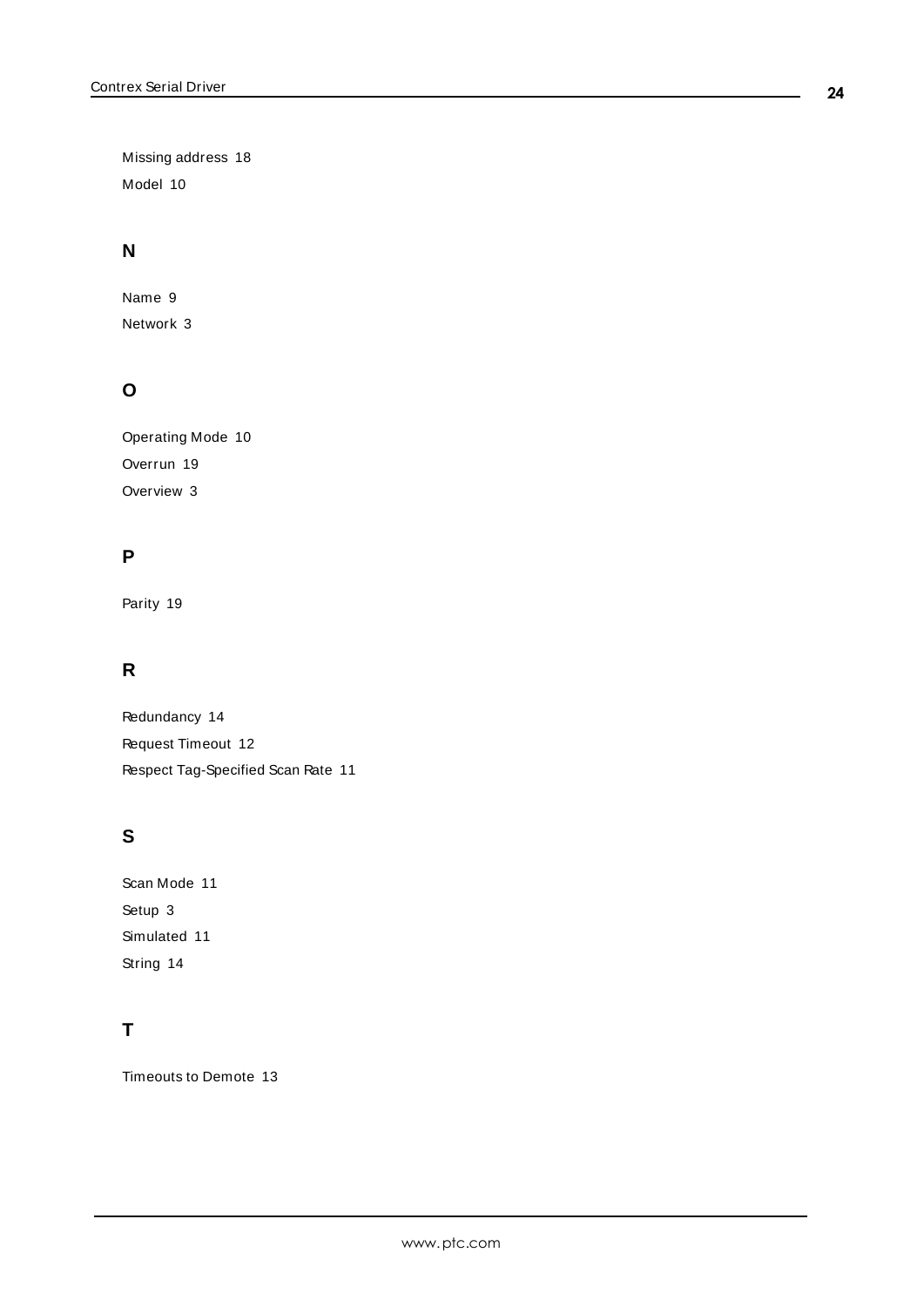Missing address [18](#page-17-3) Model [10](#page-9-5)

# **N**

Name [9](#page-8-1) Network [3](#page-2-3)

# **O**

Operating Mode [10](#page-9-0) Overrun [19](#page-18-4) Overview [3](#page-2-1)

# **P**

Parity [19](#page-18-5)

# **R**

Redundancy [14](#page-13-0) Request Timeout [12](#page-11-5) Respect Tag-Specified Scan Rate [11](#page-10-4)

# **S**

Scan Mode [11](#page-10-5) Setup [3](#page-2-2) Simulated [11](#page-10-6) String [14](#page-13-7)

# **T**

Timeouts to Demote [13](#page-12-5)